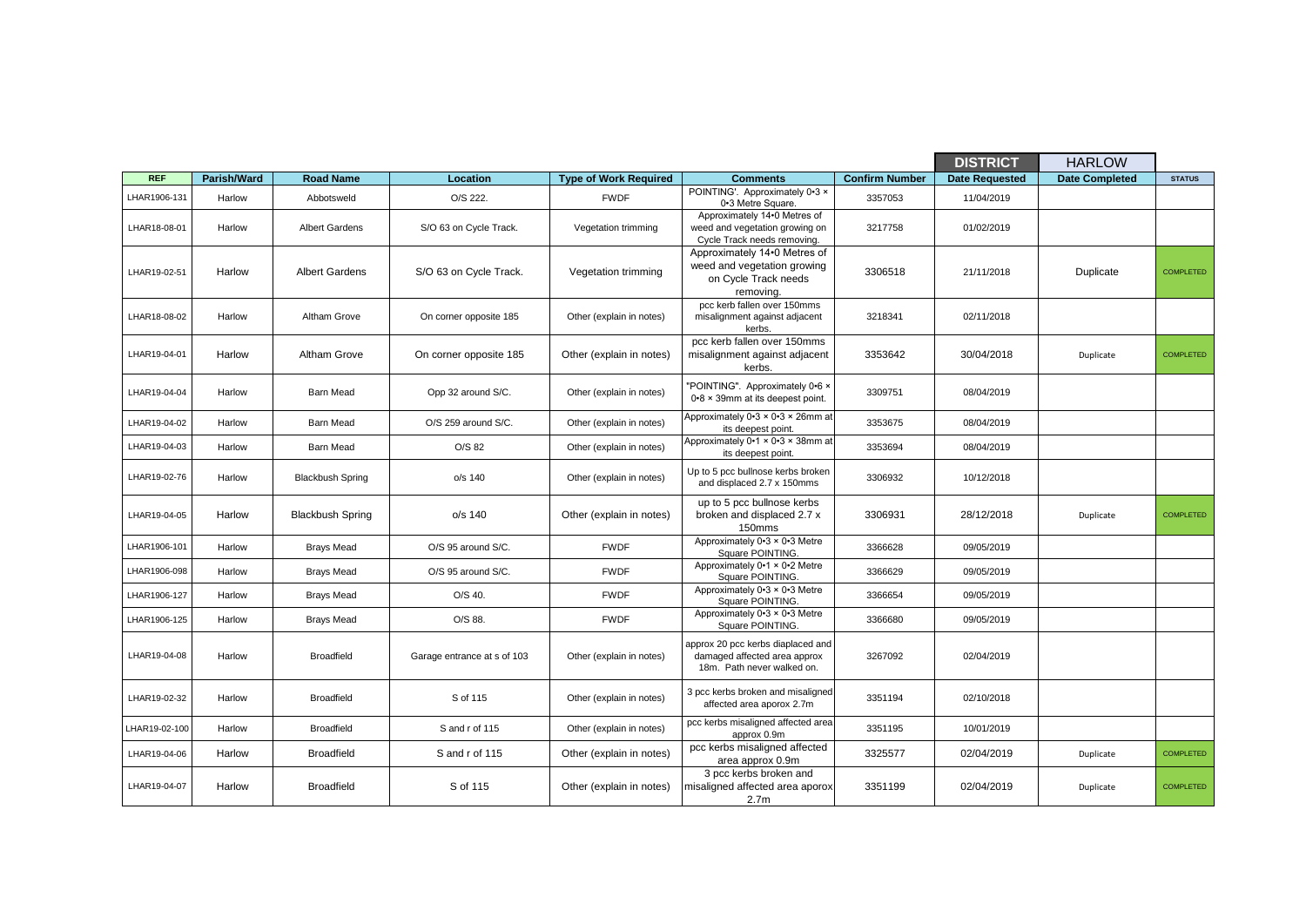|               |             |                         |                             |                              |                                                                                                  |                       | <b>DISTRICT</b>       | <b>HARLOW</b>         |                  |
|---------------|-------------|-------------------------|-----------------------------|------------------------------|--------------------------------------------------------------------------------------------------|-----------------------|-----------------------|-----------------------|------------------|
| <b>REF</b>    | Parish/Ward | <b>Road Name</b>        | Location                    | <b>Type of Work Required</b> | <b>Comments</b>                                                                                  | <b>Confirm Number</b> | <b>Date Requested</b> | <b>Date Completed</b> | <b>STATUS</b>    |
| LHAR1906-131  | Harlow      | Abbotsweld              | O/S 222.                    | <b>FWDF</b>                  | POINTING'. Approximately 0-3 x<br>0-3 Metre Square.                                              | 3357053               | 11/04/2019            |                       |                  |
| LHAR18-08-01  | Harlow      | <b>Albert Gardens</b>   | S/O 63 on Cycle Track.      | Vegetation trimming          | Approximately 14.0 Metres of<br>weed and vegetation growing on<br>Cycle Track needs removing.    | 3217758               | 01/02/2019            |                       |                  |
| LHAR19-02-51  | Harlow      | <b>Albert Gardens</b>   | S/O 63 on Cycle Track.      | Vegetation trimming          | Approximately 14.0 Metres of<br>weed and vegetation growing<br>on Cycle Track needs<br>removing. | 3306518               | 21/11/2018            | Duplicate             | <b>COMPLETED</b> |
| LHAR18-08-02  | Harlow      | Altham Grove            | On corner opposite 185      | Other (explain in notes)     | pcc kerb fallen over 150mms<br>misalignment against adjacent<br>kerbs.                           | 3218341               | 02/11/2018            |                       |                  |
| LHAR19-04-01  | Harlow      | Altham Grove            | On corner opposite 185      | Other (explain in notes)     | pcc kerb fallen over 150mms<br>misalignment against adjacent<br>kerbs.                           | 3353642               | 30/04/2018            | Duplicate             | <b>COMPLETED</b> |
| LHAR19-04-04  | Harlow      | <b>Barn Mead</b>        | Opp 32 around S/C.          | Other (explain in notes)     | "POINTING". Approximately 0.6 x<br>0.8 x 39mm at its deepest point.                              | 3309751               | 08/04/2019            |                       |                  |
| LHAR19-04-02  | Harlow      | <b>Barn Mead</b>        | O/S 259 around S/C.         | Other (explain in notes)     | Approximately 0-3 × 0-3 × 26mm at<br>its deepest point.                                          | 3353675               | 08/04/2019            |                       |                  |
| LHAR19-04-03  | Harlow      | <b>Barn Mead</b>        | O/S 82                      | Other (explain in notes)     | Approximately 0-1 × 0-3 × 38mm at<br>its deepest point.                                          | 3353694               | 08/04/2019            |                       |                  |
| LHAR19-02-76  | Harlow      | <b>Blackbush Spring</b> | $o/s$ 140                   | Other (explain in notes)     | Up to 5 pcc bullnose kerbs broken<br>and displaced 2.7 x 150mms                                  | 3306932               | 10/12/2018            |                       |                  |
| LHAR19-04-05  | Harlow      | <b>Blackbush Spring</b> | $o/s$ 140                   | Other (explain in notes)     | up to 5 pcc bullnose kerbs<br>broken and displaced 2.7 x<br>150mms                               | 3306931               | 28/12/2018            | Duplicate             | <b>COMPLETED</b> |
| LHAR1906-101  | Harlow      | <b>Brays Mead</b>       | O/S 95 around S/C.          | <b>FWDF</b>                  | Approximately 0-3 × 0-3 Metre<br>Square POINTING.                                                | 3366628               | 09/05/2019            |                       |                  |
| LHAR1906-098  | Harlow      | <b>Brays Mead</b>       | O/S 95 around S/C.          | <b>FWDF</b>                  | Approximately 0-1 × 0-2 Metre<br>Square POINTING.                                                | 3366629               | 09/05/2019            |                       |                  |
| LHAR1906-127  | Harlow      | <b>Brays Mead</b>       | O/S 40.                     | <b>FWDF</b>                  | Approximately 0-3 × 0-3 Metre<br>Square POINTING.                                                | 3366654               | 09/05/2019            |                       |                  |
| LHAR1906-125  | Harlow      | <b>Brays Mead</b>       | O/S 88.                     | <b>FWDF</b>                  | Approximately 0.3 x 0.3 Metre<br>Square POINTING.                                                | 3366680               | 09/05/2019            |                       |                  |
| LHAR19-04-08  | Harlow      | <b>Broadfield</b>       | Garage entrance at s of 103 | Other (explain in notes)     | approx 20 pcc kerbs diaplaced and<br>damaged affected area approx<br>18m. Path never walked on.  | 3267092               | 02/04/2019            |                       |                  |
| LHAR19-02-32  | Harlow      | <b>Broadfield</b>       | S of 115                    | Other (explain in notes)     | 3 pcc kerbs broken and misaligned<br>affected area aporox 2.7m                                   | 3351194               | 02/10/2018            |                       |                  |
| LHAR19-02-100 | Harlow      | <b>Broadfield</b>       | S and r of 115              | Other (explain in notes)     | pcc kerbs misaligned affected area<br>approx 0.9m                                                | 3351195               | 10/01/2019            |                       |                  |
| LHAR19-04-06  | Harlow      | <b>Broadfield</b>       | S and r of 115              | Other (explain in notes)     | pcc kerbs misaligned affected<br>area approx 0.9m                                                | 3325577               | 02/04/2019            | Duplicate             | <b>COMPLETED</b> |
| LHAR19-04-07  | Harlow      | <b>Broadfield</b>       | S of 115                    | Other (explain in notes)     | 3 pcc kerbs broken and<br>misaligned affected area aporox<br>2.7 <sub>m</sub>                    | 3351199               | 02/04/2019            | Duplicate             | <b>COMPLETED</b> |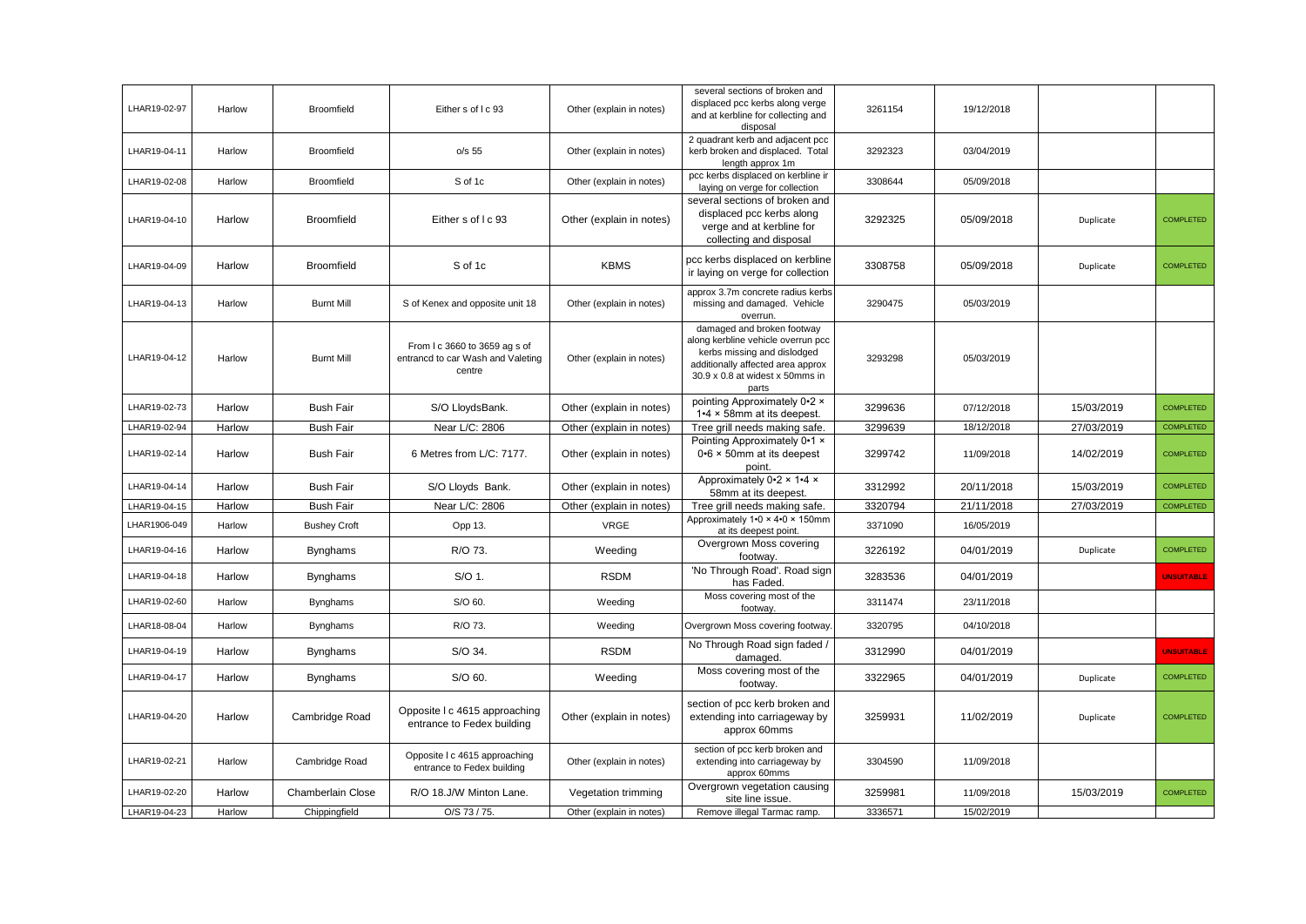| LHAR19-02-97 | Harlow | <b>Broomfield</b>   | Either s of I c 93                                                           | Other (explain in notes) | several sections of broken and<br>displaced pcc kerbs along verge<br>and at kerbline for collecting and<br>disposal                                                              | 3261154 | 19/12/2018 |            |                   |
|--------------|--------|---------------------|------------------------------------------------------------------------------|--------------------------|----------------------------------------------------------------------------------------------------------------------------------------------------------------------------------|---------|------------|------------|-------------------|
| LHAR19-04-11 | Harlow | <b>Broomfield</b>   | o/s <sub>55</sub>                                                            | Other (explain in notes) | 2 quadrant kerb and adjacent pcc<br>kerb broken and displaced. Total<br>length approx 1m                                                                                         | 3292323 | 03/04/2019 |            |                   |
| LHAR19-02-08 | Harlow | <b>Broomfield</b>   | S of 1c                                                                      | Other (explain in notes) | pcc kerbs displaced on kerbline ir<br>laying on verge for collection                                                                                                             | 3308644 | 05/09/2018 |            |                   |
| LHAR19-04-10 | Harlow | <b>Broomfield</b>   | Either s of I c 93                                                           | Other (explain in notes) | several sections of broken and<br>displaced pcc kerbs along<br>verge and at kerbline for<br>collecting and disposal                                                              | 3292325 | 05/09/2018 | Duplicate  | <b>COMPLETED</b>  |
| LHAR19-04-09 | Harlow | <b>Broomfield</b>   | S of 1c                                                                      | <b>KBMS</b>              | pcc kerbs displaced on kerbline<br>ir laying on verge for collection                                                                                                             | 3308758 | 05/09/2018 | Duplicate  | <b>COMPLETED</b>  |
| LHAR19-04-13 | Harlow | <b>Burnt Mill</b>   | S of Kenex and opposite unit 18                                              | Other (explain in notes) | approx 3.7m concrete radius kerbs<br>missing and damaged. Vehicle<br>overrun.                                                                                                    | 3290475 | 05/03/2019 |            |                   |
| LHAR19-04-12 | Harlow | <b>Burnt Mill</b>   | From I c 3660 to 3659 ag s of<br>entrancd to car Wash and Valeting<br>centre | Other (explain in notes) | damaged and broken footway<br>along kerbline vehicle overrun pcc<br>kerbs missing and dislodged<br>additionally affected area approx<br>30.9 x 0.8 at widest x 50mms in<br>parts | 3293298 | 05/03/2019 |            |                   |
| LHAR19-02-73 | Harlow | <b>Bush Fair</b>    | S/O LloydsBank.                                                              | Other (explain in notes) | pointing Approximately 0.2 x<br>1.4 x 58mm at its deepest.                                                                                                                       | 3299636 | 07/12/2018 | 15/03/2019 | <b>COMPLETED</b>  |
| LHAR19-02-94 | Harlow | <b>Bush Fair</b>    | Near L/C: 2806                                                               | Other (explain in notes) | Tree grill needs making safe.                                                                                                                                                    | 3299639 | 18/12/2018 | 27/03/2019 | <b>COMPLETED</b>  |
| LHAR19-02-14 | Harlow | <b>Bush Fair</b>    | 6 Metres from L/C: 7177.                                                     | Other (explain in notes) | Pointing Approximately 0.1 x<br>$0.6 \times 50$ mm at its deepest<br>point.                                                                                                      | 3299742 | 11/09/2018 | 14/02/2019 | <b>COMPLETED</b>  |
| LHAR19-04-14 | Harlow | <b>Bush Fair</b>    | S/O Lloyds Bank.                                                             | Other (explain in notes) | Approximately 0.2 x 1.4 x<br>58mm at its deepest.                                                                                                                                | 3312992 | 20/11/2018 | 15/03/2019 | <b>COMPLETED</b>  |
| LHAR19-04-15 | Harlow | <b>Bush Fair</b>    | Near L/C: 2806                                                               | Other (explain in notes) | Tree grill needs making safe.                                                                                                                                                    | 3320794 | 21/11/2018 | 27/03/2019 | <b>COMPLETED</b>  |
| LHAR1906-049 | Harlow | <b>Bushey Croft</b> | Opp 13.                                                                      | <b>VRGE</b>              | Approximately 1.0 × 4.0 × 150mm<br>at its deepest point.                                                                                                                         | 3371090 | 16/05/2019 |            |                   |
| LHAR19-04-16 | Harlow | <b>Bynghams</b>     | R/O 73.                                                                      | Weeding                  | Overgrown Moss covering<br>footway.                                                                                                                                              | 3226192 | 04/01/2019 | Duplicate  | COMPLETED         |
| LHAR19-04-18 | Harlow | <b>Bynghams</b>     | S/O 1.                                                                       | <b>RSDM</b>              | 'No Through Road'. Road sign<br>has Faded.                                                                                                                                       | 3283536 | 04/01/2019 |            | <b>UNSUITABLE</b> |
| LHAR19-02-60 | Harlow | <b>Bynghams</b>     | S/O 60.                                                                      | Weeding                  | Moss covering most of the<br>footway                                                                                                                                             | 3311474 | 23/11/2018 |            |                   |
| LHAR18-08-04 | Harlow | <b>Bynghams</b>     | R/O 73.                                                                      | Weeding                  | Overgrown Moss covering footway.                                                                                                                                                 | 3320795 | 04/10/2018 |            |                   |
| LHAR19-04-19 | Harlow | <b>Bynghams</b>     | S/O 34.                                                                      | <b>RSDM</b>              | No Through Road sign faded /<br>damaged.                                                                                                                                         | 3312990 | 04/01/2019 |            | <b>UNSUITABLE</b> |
| LHAR19-04-17 | Harlow | <b>Bynghams</b>     | S/O 60.                                                                      | Weeding                  | Moss covering most of the<br>footway.                                                                                                                                            | 3322965 | 04/01/2019 | Duplicate  | <b>COMPLETED</b>  |
| LHAR19-04-20 | Harlow | Cambridge Road      | Opposite I c 4615 approaching<br>entrance to Fedex building                  | Other (explain in notes) | section of pcc kerb broken and<br>extending into carriageway by<br>approx 60mms                                                                                                  | 3259931 | 11/02/2019 | Duplicate  | <b>COMPLETED</b>  |
| LHAR19-02-21 | Harlow | Cambridge Road      | Opposite I c 4615 approaching<br>entrance to Fedex building                  | Other (explain in notes) | section of pcc kerb broken and<br>extending into carriageway by<br>approx 60mms                                                                                                  | 3304590 | 11/09/2018 |            |                   |
| LHAR19-02-20 | Harlow | Chamberlain Close   | R/O 18.J/W Minton Lane.                                                      | Vegetation trimming      | Overgrown vegetation causing<br>site line issue.                                                                                                                                 | 3259981 | 11/09/2018 | 15/03/2019 | <b>COMPLETED</b>  |
| LHAR19-04-23 | Harlow | Chippingfield       | O/S 73 / 75.                                                                 | Other (explain in notes) | Remove illegal Tarmac ramp.                                                                                                                                                      | 3336571 | 15/02/2019 |            |                   |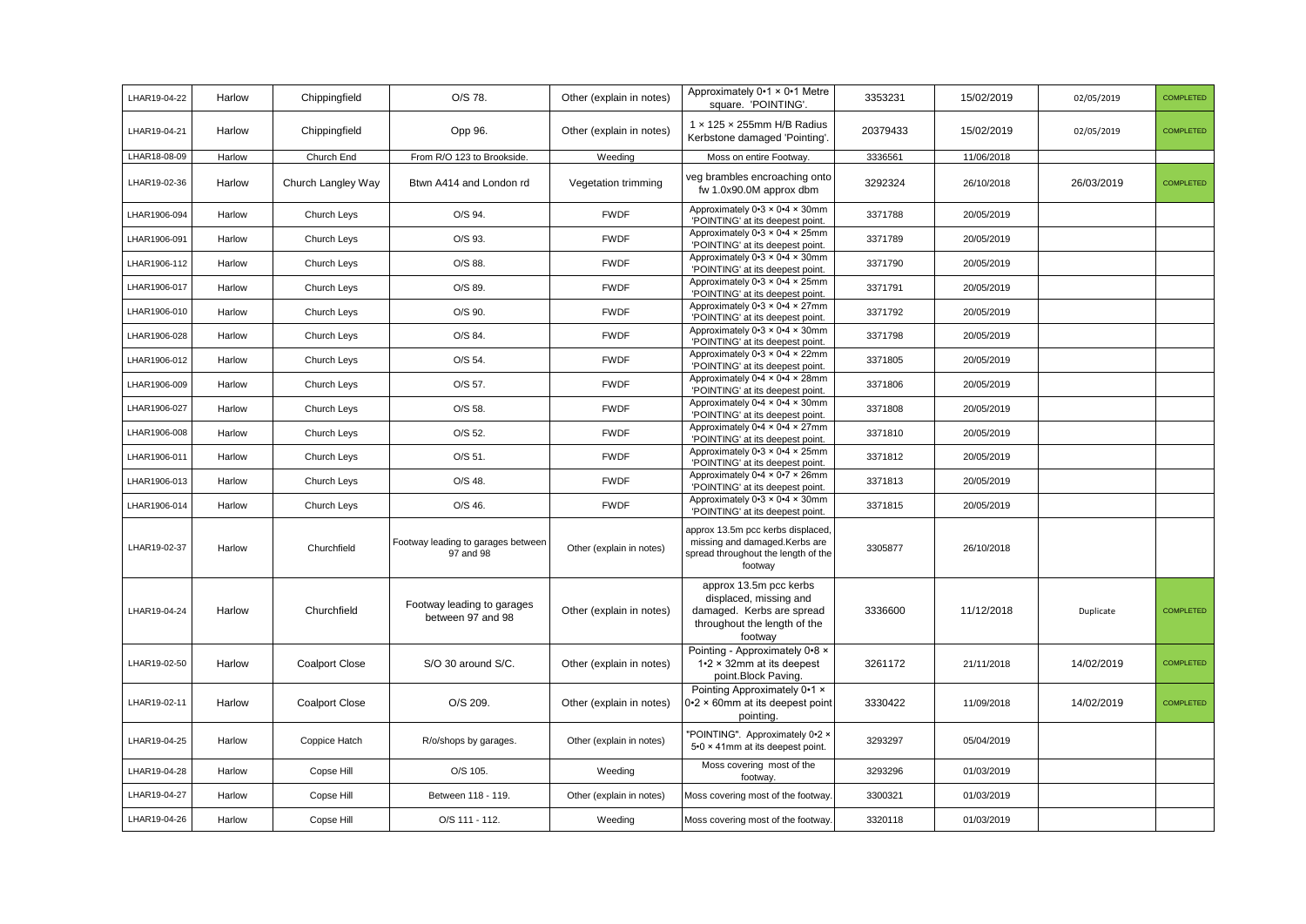| LHAR19-04-22 | Harlow | Chippingfield         | O/S 78.                                         | Other (explain in notes) | Approximately 0.1 x 0.1 Metre<br>square. 'POINTING'.                                                                     | 3353231  | 15/02/2019 | 02/05/2019 | COMPLETED        |
|--------------|--------|-----------------------|-------------------------------------------------|--------------------------|--------------------------------------------------------------------------------------------------------------------------|----------|------------|------------|------------------|
| LHAR19-04-21 | Harlow | Chippingfield         | Opp 96.                                         | Other (explain in notes) | 1 x 125 x 255mm H/B Radius<br>Kerbstone damaged 'Pointing'.                                                              | 20379433 | 15/02/2019 | 02/05/2019 | COMPLETED        |
| LHAR18-08-09 | Harlow | Church End            | From R/O 123 to Brookside.                      | Weeding                  | Moss on entire Footway.                                                                                                  | 3336561  | 11/06/2018 |            |                  |
| LHAR19-02-36 | Harlow | Church Langley Way    | Btwn A414 and London rd                         | Vegetation trimming      | veg brambles encroaching onto<br>fw 1.0x90.0M approx dbm                                                                 | 3292324  | 26/10/2018 | 26/03/2019 | <b>COMPLETED</b> |
| LHAR1906-094 | Harlow | Church Leys           | O/S 94.                                         | <b>FWDF</b>              | Approximately $0.3 \times 0.4 \times 30$ mm<br>'POINTING' at its deepest point.                                          | 3371788  | 20/05/2019 |            |                  |
| LHAR1906-091 | Harlow | Church Leys           | O/S 93.                                         | <b>FWDF</b>              | Approximately 0-3 × 0-4 × 25mm<br>'POINTING' at its deepest point.                                                       | 3371789  | 20/05/2019 |            |                  |
| LHAR1906-112 | Harlow | Church Leys           | O/S 88.                                         | <b>FWDF</b>              | Approximately $0.3 \times 0.4 \times 30$ mm<br>'POINTING' at its deepest point.                                          | 3371790  | 20/05/2019 |            |                  |
| LHAR1906-017 | Harlow | Church Leys           | O/S 89.                                         | <b>FWDF</b>              | Approximately $0.3 \times 0.4 \times 25$ mm<br>'POINTING' at its deepest point.                                          | 3371791  | 20/05/2019 |            |                  |
| LHAR1906-010 | Harlow | Church Leys           | O/S 90.                                         | <b>FWDF</b>              | Approximately 0-3 × 0-4 × 27mm<br>'POINTING' at its deepest point.                                                       | 3371792  | 20/05/2019 |            |                  |
| LHAR1906-028 | Harlow | Church Leys           | O/S 84.                                         | <b>FWDF</b>              | Approximately 0-3 × 0-4 × 30mm<br>'POINTING' at its deepest point.                                                       | 3371798  | 20/05/2019 |            |                  |
| LHAR1906-012 | Harlow | Church Leys           | O/S 54.                                         | <b>FWDF</b>              | Approximately 0.3 x 0.4 x 22mm<br>'POINTING' at its deepest point.                                                       | 3371805  | 20/05/2019 |            |                  |
| LHAR1906-009 | Harlow | Church Leys           | O/S 57.                                         | <b>FWDF</b>              | Approximately 0-4 × 0-4 × 28mm<br>'POINTING' at its deepest point.                                                       | 3371806  | 20/05/2019 |            |                  |
| LHAR1906-027 | Harlow | Church Leys           | O/S 58.                                         | <b>FWDF</b>              | Approximately $0.4 \times 0.4 \times 30$ mm<br>'POINTING' at its deepest point.                                          | 3371808  | 20/05/2019 |            |                  |
| LHAR1906-008 | Harlow | Church Leys           | O/S 52.                                         | <b>FWDF</b>              | Approximately $0.4 \times 0.4 \times 27$ mm<br>'POINTING' at its deepest point.                                          | 3371810  | 20/05/2019 |            |                  |
| LHAR1906-011 | Harlow | Church Leys           | O/S 51.                                         | <b>FWDF</b>              | Approximately 0.3 × 0.4 × 25mm<br>'POINTING' at its deepest point.                                                       | 3371812  | 20/05/2019 |            |                  |
| LHAR1906-013 | Harlow | Church Leys           | O/S 48.                                         | <b>FWDF</b>              | Approximately 0-4 × 0-7 × 26mm<br>'POINTING' at its deepest point.                                                       | 3371813  | 20/05/2019 |            |                  |
| LHAR1906-014 | Harlow | Church Leys           | O/S 46.                                         | <b>FWDF</b>              | Approximately 0.3 × 0.4 × 30mm<br>'POINTING' at its deepest point.                                                       | 3371815  | 20/05/2019 |            |                  |
| LHAR19-02-37 | Harlow | Churchfield           | Footway leading to garages between<br>97 and 98 | Other (explain in notes) | approx 13.5m pcc kerbs displaced,<br>missing and damaged.Kerbs are<br>spread throughout the length of the<br>footway     | 3305877  | 26/10/2018 |            |                  |
| LHAR19-04-24 | Harlow | Churchfield           | Footway leading to garages<br>between 97 and 98 | Other (explain in notes) | approx 13.5m pcc kerbs<br>displaced, missing and<br>damaged. Kerbs are spread<br>throughout the length of the<br>footway | 3336600  | 11/12/2018 | Duplicate  | <b>COMPLETED</b> |
| LHAR19-02-50 | Harlow | <b>Coalport Close</b> | S/O 30 around S/C.                              | Other (explain in notes) | Pointing - Approximately 0.8 x<br>$1.2 \times 32$ mm at its deepest<br>point.Block Paving.                               | 3261172  | 21/11/2018 | 14/02/2019 | <b>COMPLETED</b> |
| LHAR19-02-11 | Harlow | <b>Coalport Close</b> | O/S 209.                                        | Other (explain in notes) | Pointing Approximately 0.1 x<br>$0.2 \times 60$ mm at its deepest point<br>pointing.                                     | 3330422  | 11/09/2018 | 14/02/2019 | <b>COMPLETED</b> |
| LHAR19-04-25 | Harlow | Coppice Hatch         | R/o/shops by garages.                           | Other (explain in notes) | "POINTING". Approximately 0.2 x<br>5.0 × 41mm at its deepest point.                                                      | 3293297  | 05/04/2019 |            |                  |
| LHAR19-04-28 | Harlow | Copse Hill            | O/S 105.                                        | Weeding                  | Moss covering most of the<br>footway.                                                                                    | 3293296  | 01/03/2019 |            |                  |
| LHAR19-04-27 | Harlow | Copse Hill            | Between 118 - 119.                              | Other (explain in notes) | Moss covering most of the footway.                                                                                       | 3300321  | 01/03/2019 |            |                  |
| LHAR19-04-26 | Harlow | Copse Hill            | O/S 111 - 112.                                  | Weeding                  | Moss covering most of the footway.                                                                                       | 3320118  | 01/03/2019 |            |                  |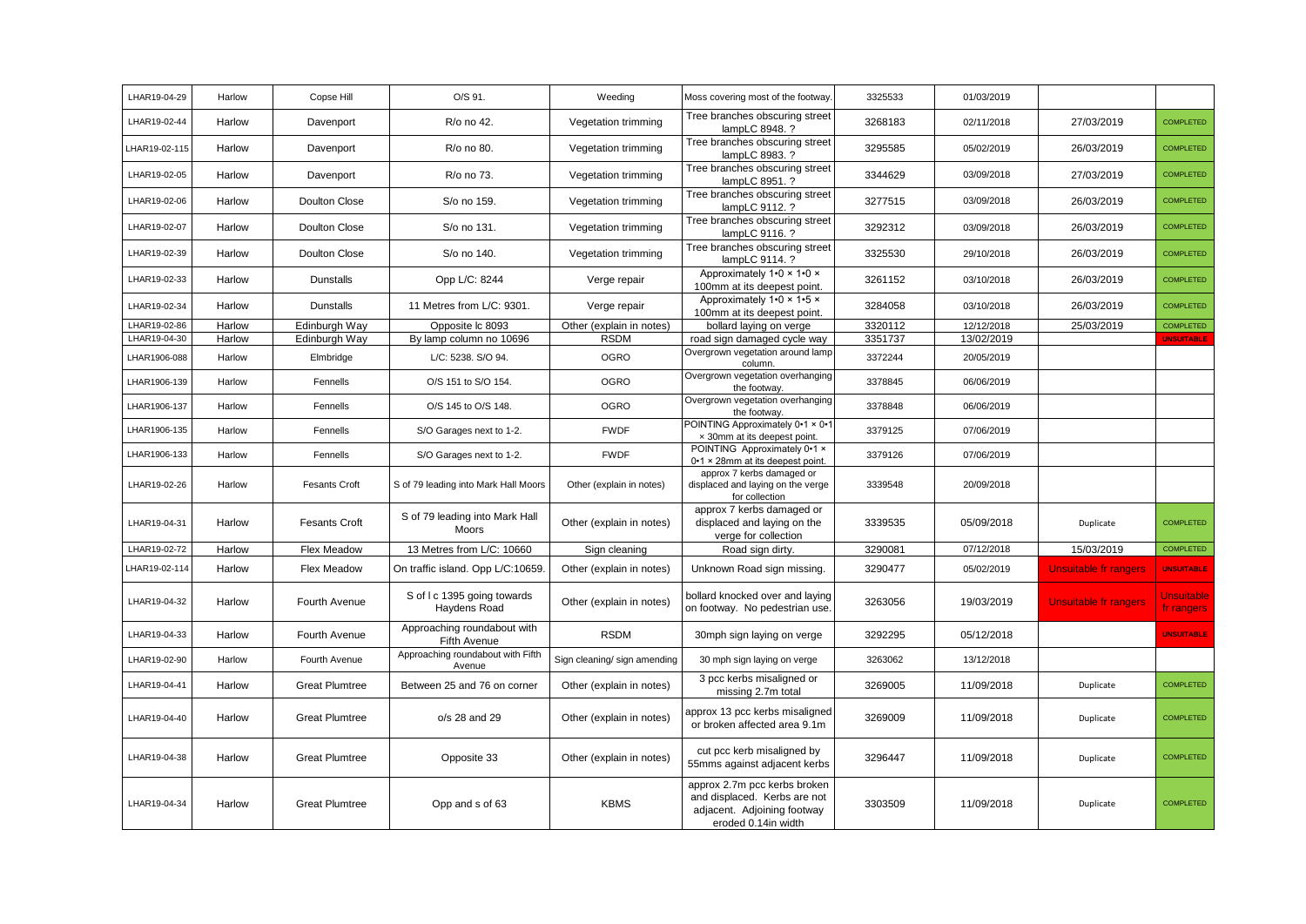| LHAR19-04-29  | Harlow | Copse Hill            | O/S 91.                                            | Weeding                      | Moss covering most of the footway.                                                                                 | 3325533 | 01/03/2019 |                              |                            |
|---------------|--------|-----------------------|----------------------------------------------------|------------------------------|--------------------------------------------------------------------------------------------------------------------|---------|------------|------------------------------|----------------------------|
| LHAR19-02-44  | Harlow | Davenport             | R/o no 42.                                         | Vegetation trimming          | Tree branches obscuring street<br>lampLC 8948. ?                                                                   | 3268183 | 02/11/2018 | 27/03/2019                   | <b>COMPLETED</b>           |
| LHAR19-02-115 | Harlow | Davenport             | R/o no 80.                                         | Vegetation trimming          | Tree branches obscuring street<br>lampLC 8983. ?                                                                   | 3295585 | 05/02/2019 | 26/03/2019                   | <b>COMPLETED</b>           |
| LHAR19-02-05  | Harlow | Davenport             | R/o no 73.                                         | Vegetation trimming          | Tree branches obscuring street<br>lampLC 8951. ?                                                                   | 3344629 | 03/09/2018 | 27/03/2019                   | <b>COMPLETED</b>           |
| LHAR19-02-06  | Harlow | Doulton Close         | S/o no 159.                                        | Vegetation trimming          | Tree branches obscuring street<br>lampLC 9112. ?                                                                   | 3277515 | 03/09/2018 | 26/03/2019                   | <b>COMPLETED</b>           |
| LHAR19-02-07  | Harlow | Doulton Close         | S/o no 131.                                        | Vegetation trimming          | Tree branches obscuring street<br>lampLC 9116. ?                                                                   | 3292312 | 03/09/2018 | 26/03/2019                   | <b>COMPLETED</b>           |
| LHAR19-02-39  | Harlow | Doulton Close         | S/o no 140.                                        | Vegetation trimming          | Tree branches obscuring street<br>lampLC 9114. ?                                                                   | 3325530 | 29/10/2018 | 26/03/2019                   | <b>COMPLETED</b>           |
| LHAR19-02-33  | Harlow | <b>Dunstalls</b>      | Opp L/C: 8244                                      | Verge repair                 | Approximately 1.0 x 1.0 x<br>100mm at its deepest point.                                                           | 3261152 | 03/10/2018 | 26/03/2019                   | <b>COMPLETED</b>           |
| LHAR19-02-34  | Harlow | <b>Dunstalls</b>      | 11 Metres from L/C: 9301.                          | Verge repair                 | Approximately 1.0 x 1.5 x<br>100mm at its deepest point.                                                           | 3284058 | 03/10/2018 | 26/03/2019                   | <b>COMPLETED</b>           |
| LHAR19-02-86  | Harlow | Edinburgh Way         | Opposite Ic 8093                                   | Other (explain in notes)     | bollard laying on verge                                                                                            | 3320112 | 12/12/2018 | 25/03/2019                   | <b>COMPLETED</b>           |
| LHAR19-04-30  | Harlow | Edinburgh Way         | By lamp column no 10696                            | <b>RSDM</b>                  | road sign damaged cycle way                                                                                        | 3351737 | 13/02/2019 |                              | <b>UNSUITABLE</b>          |
| LHAR1906-088  | Harlow | Elmbridge             | L/C: 5238. S/O 94.                                 | <b>OGRO</b>                  | Overgrown vegetation around lamp<br>column.                                                                        | 3372244 | 20/05/2019 |                              |                            |
| LHAR1906-139  | Harlow | Fennells              | O/S 151 to S/O 154.                                | <b>OGRO</b>                  | Overgrown vegetation overhanging<br>the footway.                                                                   | 3378845 | 06/06/2019 |                              |                            |
| LHAR1906-137  | Harlow | Fennells              | O/S 145 to O/S 148.                                | <b>OGRO</b>                  | Overgrown vegetation overhanging<br>the footway.                                                                   | 3378848 | 06/06/2019 |                              |                            |
| LHAR1906-135  | Harlow | Fennells              | S/O Garages next to 1-2.                           | <b>FWDF</b>                  | POINTING Approximately 0-1 × 0-1<br>x 30mm at its deepest point.                                                   | 3379125 | 07/06/2019 |                              |                            |
| LHAR1906-133  | Harlow | Fennells              | S/O Garages next to 1-2.                           | <b>FWDF</b>                  | POINTING Approximately 0.1 x<br>0-1 × 28mm at its deepest point.                                                   | 3379126 | 07/06/2019 |                              |                            |
| LHAR19-02-26  | Harlow | <b>Fesants Croft</b>  | S of 79 leading into Mark Hall Moors               | Other (explain in notes)     | approx 7 kerbs damaged or<br>displaced and laying on the verge<br>for collection                                   | 3339548 | 20/09/2018 |                              |                            |
| LHAR19-04-31  | Harlow | <b>Fesants Croft</b>  | S of 79 leading into Mark Hall<br>Moors            | Other (explain in notes)     | approx 7 kerbs damaged or<br>displaced and laying on the<br>verge for collection                                   | 3339535 | 05/09/2018 | Duplicate                    | <b>COMPLETED</b>           |
| LHAR19-02-72  | Harlow | Flex Meadow           | 13 Metres from L/C: 10660                          | Sign cleaning                | Road sign dirty.                                                                                                   | 3290081 | 07/12/2018 | 15/03/2019                   | <b>COMPLETED</b>           |
| LHAR19-02-114 | Harlow | Flex Meadow           | On traffic island. Opp L/C:10659                   | Other (explain in notes)     | Unknown Road sign missing.                                                                                         | 3290477 | 05/02/2019 | Unsuitable fr rangers        | <b>UNSUITABLE</b>          |
| LHAR19-04-32  | Harlow | Fourth Avenue         | S of I c 1395 going towards<br>Haydens Road        | Other (explain in notes)     | bollard knocked over and laying<br>on footway. No pedestrian use.                                                  | 3263056 | 19/03/2019 | <b>Unsuitable fr rangers</b> | Unsuitable  <br>fr rangers |
| LHAR19-04-33  | Harlow | Fourth Avenue         | Approaching roundabout with<br><b>Fifth Avenue</b> | <b>RSDM</b>                  | 30mph sign laying on verge                                                                                         | 3292295 | 05/12/2018 |                              | <b>UNSUITABLE</b>          |
| LHAR19-02-90  | Harlow | Fourth Avenue         | Approaching roundabout with Fifth<br>Avenue        | Sign cleaning/ sign amending | 30 mph sign laying on verge                                                                                        | 3263062 | 13/12/2018 |                              |                            |
| LHAR19-04-41  | Harlow | <b>Great Plumtree</b> | Between 25 and 76 on corner                        | Other (explain in notes)     | 3 pcc kerbs misaligned or<br>missing 2.7m total                                                                    | 3269005 | 11/09/2018 | Duplicate                    | <b>COMPLETED</b>           |
| LHAR19-04-40  | Harlow | <b>Great Plumtree</b> | o/s 28 and 29                                      | Other (explain in notes)     | approx 13 pcc kerbs misaligned<br>or broken affected area 9.1m                                                     | 3269009 | 11/09/2018 | Duplicate                    | COMPLETED                  |
| LHAR19-04-38  | Harlow | <b>Great Plumtree</b> | Opposite 33                                        | Other (explain in notes)     | cut pcc kerb misaligned by<br>55mms against adjacent kerbs                                                         | 3296447 | 11/09/2018 | Duplicate                    | <b>COMPLETED</b>           |
| LHAR19-04-34  | Harlow | <b>Great Plumtree</b> | Opp and s of 63                                    | <b>KBMS</b>                  | approx 2.7m pcc kerbs broken<br>and displaced. Kerbs are not<br>adjacent. Adjoining footway<br>eroded 0.14in width | 3303509 | 11/09/2018 | Duplicate                    | <b>COMPLETED</b>           |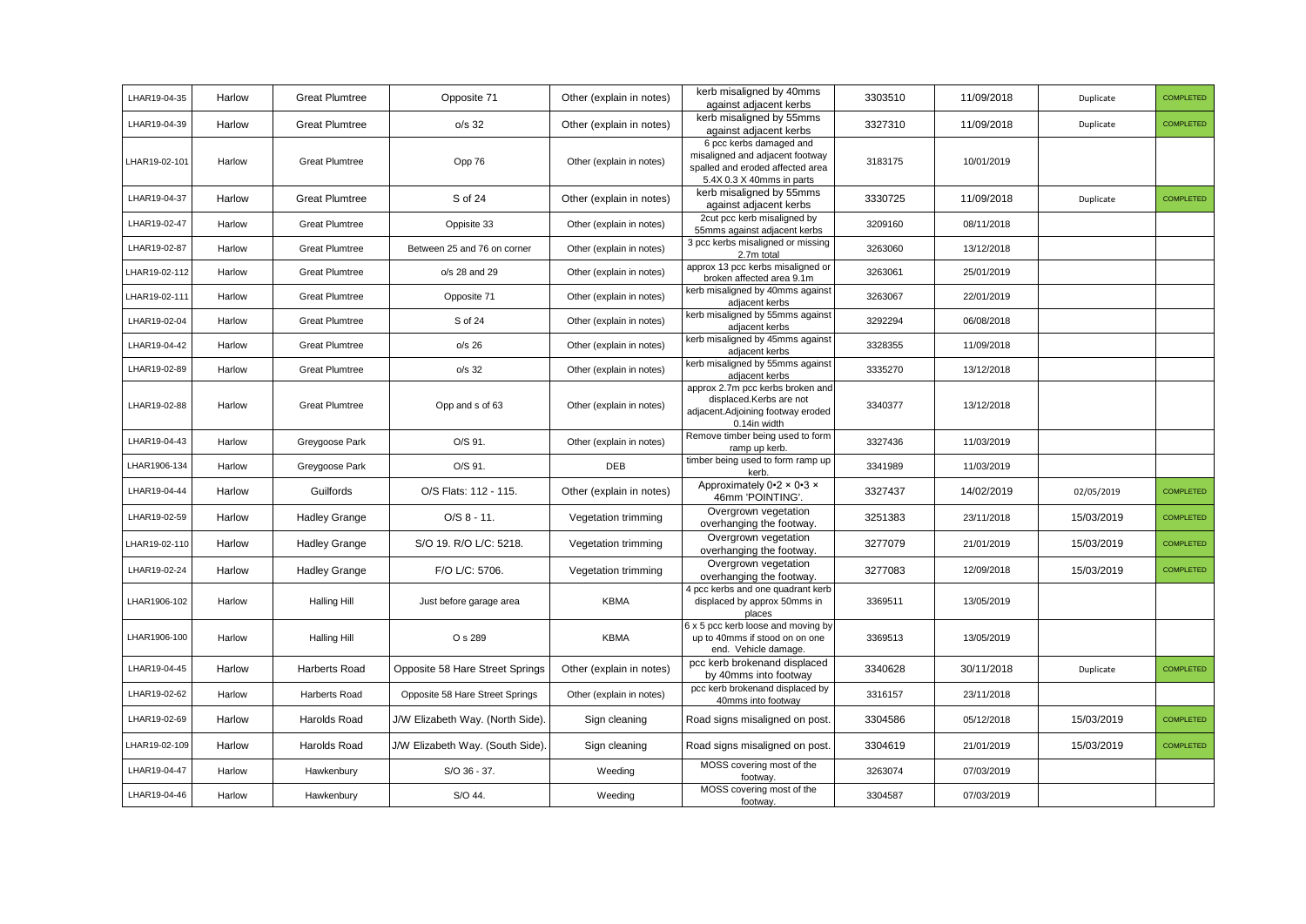| LHAR19-04-35  | Harlow | <b>Great Plumtree</b> | Opposite 71                     | Other (explain in notes) | kerb misaligned by 40mms<br>against adjacent kerbs                                                                          | 3303510 | 11/09/2018 | Duplicate  | COMPLETED        |
|---------------|--------|-----------------------|---------------------------------|--------------------------|-----------------------------------------------------------------------------------------------------------------------------|---------|------------|------------|------------------|
| LHAR19-04-39  | Harlow | <b>Great Plumtree</b> | $o/s$ 32                        | Other (explain in notes) | kerb misaligned by 55mms<br>against adjacent kerbs                                                                          | 3327310 | 11/09/2018 | Duplicate  | <b>COMPLETED</b> |
| LHAR19-02-101 | Harlow | <b>Great Plumtree</b> | Opp 76                          | Other (explain in notes) | 6 pcc kerbs damaged and<br>misaligned and adjacent footway<br>spalled and eroded affected area<br>5.4X 0.3 X 40mms in parts | 3183175 | 10/01/2019 |            |                  |
| LHAR19-04-37  | Harlow | <b>Great Plumtree</b> | S of 24                         | Other (explain in notes) | kerb misaligned by 55mms<br>against adjacent kerbs                                                                          | 3330725 | 11/09/2018 | Duplicate  | COMPLETED        |
| LHAR19-02-47  | Harlow | <b>Great Plumtree</b> | Oppisite 33                     | Other (explain in notes) | 2cut pcc kerb misaligned by<br>55mms against adjacent kerbs                                                                 | 3209160 | 08/11/2018 |            |                  |
| LHAR19-02-87  | Harlow | <b>Great Plumtree</b> | Between 25 and 76 on corner     | Other (explain in notes) | 3 pcc kerbs misaligned or missing<br>2.7m total                                                                             | 3263060 | 13/12/2018 |            |                  |
| LHAR19-02-112 | Harlow | <b>Great Plumtree</b> | o/s 28 and 29                   | Other (explain in notes) | approx 13 pcc kerbs misaligned or<br>broken affected area 9.1m                                                              | 3263061 | 25/01/2019 |            |                  |
| LHAR19-02-111 | Harlow | <b>Great Plumtree</b> | Opposite 71                     | Other (explain in notes) | kerb misaligned by 40mms against<br>adjacent kerbs                                                                          | 3263067 | 22/01/2019 |            |                  |
| LHAR19-02-04  | Harlow | <b>Great Plumtree</b> | S of 24                         | Other (explain in notes) | kerb misaligned by 55mms against<br>adjacent kerbs                                                                          | 3292294 | 06/08/2018 |            |                  |
| LHAR19-04-42  | Harlow | <b>Great Plumtree</b> | $o/s$ 26                        | Other (explain in notes) | kerb misaligned by 45mms against<br>adjacent kerbs                                                                          | 3328355 | 11/09/2018 |            |                  |
| LHAR19-02-89  | Harlow | <b>Great Plumtree</b> | $o/s$ 32                        | Other (explain in notes) | kerb misaligned by 55mms against<br>adjacent kerbs                                                                          | 3335270 | 13/12/2018 |            |                  |
| LHAR19-02-88  | Harlow | <b>Great Plumtree</b> | Opp and s of 63                 | Other (explain in notes) | approx 2.7m pcc kerbs broken and<br>displaced.Kerbs are not<br>adjacent.Adjoining footway eroded<br>0.14in width            | 3340377 | 13/12/2018 |            |                  |
| LHAR19-04-43  | Harlow | Greygoose Park        | O/S 91.                         | Other (explain in notes) | Remove timber being used to form<br>ramp up kerb.                                                                           | 3327436 | 11/03/2019 |            |                  |
| LHAR1906-134  | Harlow | Greygoose Park        | O/S 91.                         | DEB                      | timber being used to form ramp up<br>kerb.                                                                                  | 3341989 | 11/03/2019 |            |                  |
| LHAR19-04-44  | Harlow | Guilfords             | O/S Flats: 112 - 115.           | Other (explain in notes) | Approximately 0.2 x 0.3 x<br>46mm 'POINTING'.                                                                               | 3327437 | 14/02/2019 | 02/05/2019 | <b>COMPLETED</b> |
| LHAR19-02-59  | Harlow | <b>Hadley Grange</b>  | $O/S 8 - 11.$                   | Vegetation trimming      | Overgrown vegetation<br>overhanging the footway.                                                                            | 3251383 | 23/11/2018 | 15/03/2019 | <b>COMPLETED</b> |
| LHAR19-02-110 | Harlow | <b>Hadley Grange</b>  | S/O 19. R/O L/C: 5218.          | Vegetation trimming      | Overgrown vegetation<br>overhanging the footway.                                                                            | 3277079 | 21/01/2019 | 15/03/2019 | <b>COMPLETED</b> |
| LHAR19-02-24  | Harlow | <b>Hadley Grange</b>  | F/O L/C: 5706.                  | Vegetation trimming      | Overgrown vegetation<br>overhanging the footway.                                                                            | 3277083 | 12/09/2018 | 15/03/2019 | <b>COMPLETED</b> |
| LHAR1906-102  | Harlow | <b>Halling Hill</b>   | Just before garage area         | <b>KBMA</b>              | 4 pcc kerbs and one quadrant kerb<br>displaced by approx 50mms in<br>places                                                 | 3369511 | 13/05/2019 |            |                  |
| LHAR1906-100  | Harlow | <b>Halling Hill</b>   | O s 289                         | <b>KBMA</b>              | 6 x 5 pcc kerb loose and moving by<br>up to 40mms if stood on on one<br>end. Vehicle damage.                                | 3369513 | 13/05/2019 |            |                  |
| LHAR19-04-45  | Harlow | Harberts Road         | Opposite 58 Hare Street Springs | Other (explain in notes) | pcc kerb brokenand displaced<br>by 40mms into footway                                                                       | 3340628 | 30/11/2018 | Duplicate  | <b>COMPLETED</b> |
| LHAR19-02-62  | Harlow | Harberts Road         | Opposite 58 Hare Street Springs | Other (explain in notes) | pcc kerb brokenand displaced by<br>40mms into footway                                                                       | 3316157 | 23/11/2018 |            |                  |
| LHAR19-02-69  | Harlow | Harolds Road          | J/W Elizabeth Way. (North Side) | Sign cleaning            | Road signs misaligned on post.                                                                                              | 3304586 | 05/12/2018 | 15/03/2019 | <b>COMPLETED</b> |
| LHAR19-02-109 | Harlow | Harolds Road          | J/W Elizabeth Way. (South Side) | Sign cleaning            | Road signs misaligned on post                                                                                               | 3304619 | 21/01/2019 | 15/03/2019 | <b>COMPLETED</b> |
| LHAR19-04-47  | Harlow | Hawkenbury            | S/O 36 - 37.                    | Weeding                  | MOSS covering most of the<br>footway.                                                                                       | 3263074 | 07/03/2019 |            |                  |
| LHAR19-04-46  | Harlow | Hawkenbury            | S/O 44.                         | Weeding                  | MOSS covering most of the<br>footway.                                                                                       | 3304587 | 07/03/2019 |            |                  |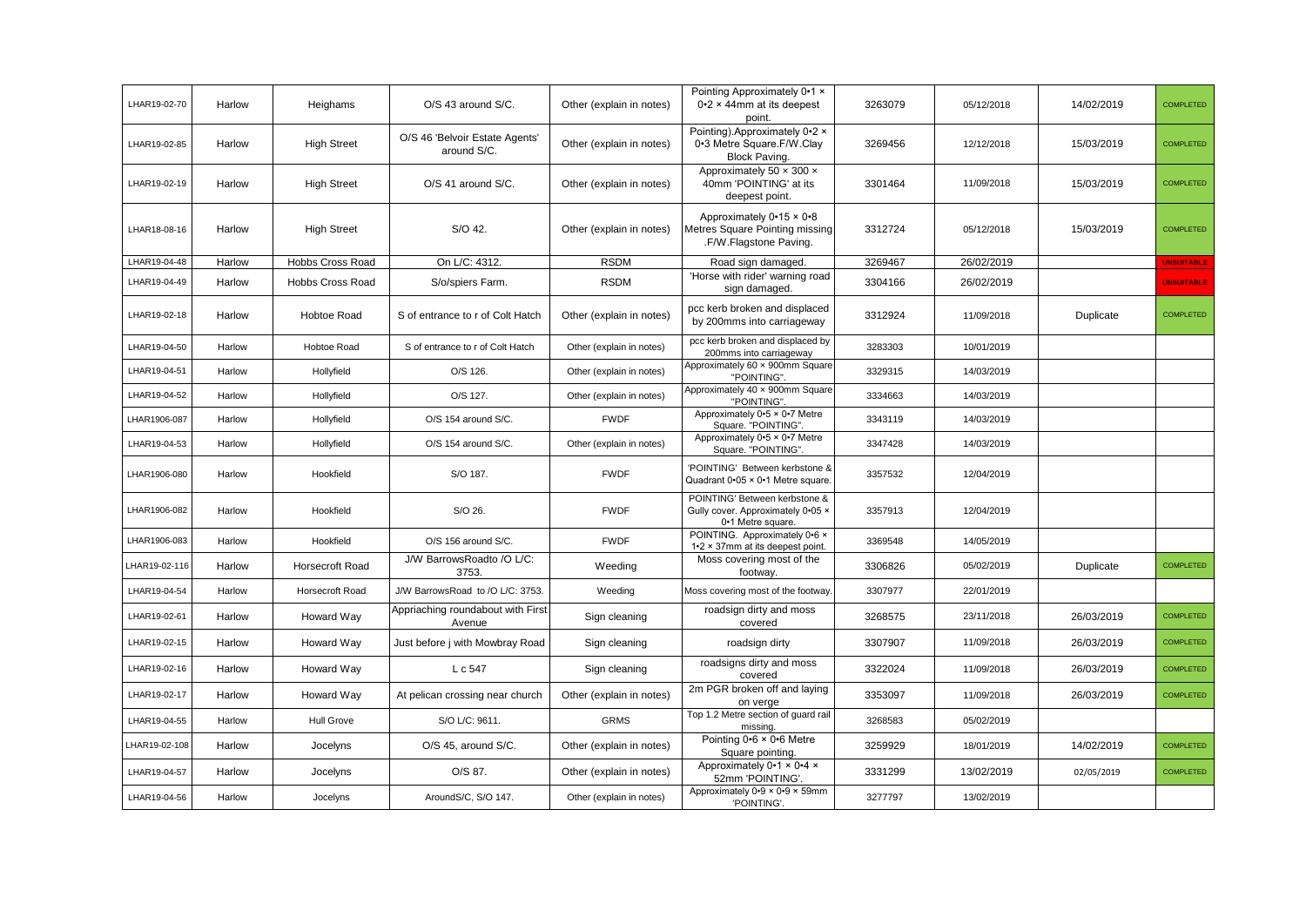| LHAR19-02-70  | Harlow | Heighams           | O/S 43 around S/C.                            | Other (explain in notes) | Pointing Approximately 0.1 x<br>$0.2 \times 44$ mm at its deepest<br>point.                 | 3263079 | 05/12/2018 | 14/02/2019 | <b>COMPLETED</b>  |
|---------------|--------|--------------------|-----------------------------------------------|--------------------------|---------------------------------------------------------------------------------------------|---------|------------|------------|-------------------|
| LHAR19-02-85  | Harlow | <b>High Street</b> | O/S 46 'Belvoir Estate Agents'<br>around S/C. | Other (explain in notes) | Pointing).Approximately 0.2 x<br>0.3 Metre Square.F/W.Clay<br>Block Paving.                 | 3269456 | 12/12/2018 | 15/03/2019 | <b>COMPLETED</b>  |
| LHAR19-02-19  | Harlow | <b>High Street</b> | O/S 41 around S/C.                            | Other (explain in notes) | Approximately 50 $\times$ 300 $\times$<br>40mm 'POINTING' at its<br>deepest point.          | 3301464 | 11/09/2018 | 15/03/2019 | <b>COMPLETED</b>  |
| LHAR18-08-16  | Harlow | <b>High Street</b> | S/O 42.                                       | Other (explain in notes) | Approximately $0.15 \times 0.8$<br>Metres Square Pointing missing<br>.F/W.Flagstone Paving. | 3312724 | 05/12/2018 | 15/03/2019 | <b>COMPLETED</b>  |
| LHAR19-04-48  | Harlow | Hobbs Cross Road   | On L/C: 4312.                                 | <b>RSDM</b>              | Road sign damaged.                                                                          | 3269467 | 26/02/2019 |            | <b>UNSUITABLE</b> |
| LHAR19-04-49  | Harlow | Hobbs Cross Road   | S/o/spiers Farm.                              | <b>RSDM</b>              | 'Horse with rider' warning road<br>sign damaged.                                            | 3304166 | 26/02/2019 |            | <b>UNSUITABLE</b> |
| LHAR19-02-18  | Harlow | Hobtoe Road        | S of entrance to r of Colt Hatch              | Other (explain in notes) | pcc kerb broken and displaced<br>by 200mms into carriageway                                 | 3312924 | 11/09/2018 | Duplicate  | <b>COMPLETED</b>  |
| LHAR19-04-50  | Harlow | Hobtoe Road        | S of entrance to r of Colt Hatch              | Other (explain in notes) | pcc kerb broken and displaced by<br>200mms into carriageway                                 | 3283303 | 10/01/2019 |            |                   |
| LHAR19-04-51  | Harlow | Hollyfield         | O/S 126.                                      | Other (explain in notes) | Approximately 60 x 900mm Square<br>"POINTING".                                              | 3329315 | 14/03/2019 |            |                   |
| LHAR19-04-52  | Harlow | Hollyfield         | O/S 127.                                      | Other (explain in notes) | Approximately 40 x 900mm Square<br>"POINTING".                                              | 3334663 | 14/03/2019 |            |                   |
| LHAR1906-087  | Harlow | Hollyfield         | O/S 154 around S/C.                           | <b>FWDF</b>              | Approximately 0.5 x 0.7 Metre<br>Square. "POINTING".                                        | 3343119 | 14/03/2019 |            |                   |
| LHAR19-04-53  | Harlow | Hollyfield         | O/S 154 around S/C.                           | Other (explain in notes) | Approximately 0.5 x 0.7 Metre<br>Square. "POINTING".                                        | 3347428 | 14/03/2019 |            |                   |
| LHAR1906-080  | Harlow | Hookfield          | S/O 187.                                      | <b>FWDF</b>              | 'POINTING' Between kerbstone &<br>Quadrant 0.05 × 0.1 Metre square.                         | 3357532 | 12/04/2019 |            |                   |
| LHAR1906-082  | Harlow | Hookfield          | S/O 26.                                       | <b>FWDF</b>              | POINTING' Between kerbstone &<br>Gully cover. Approximately 0.05 x<br>0-1 Metre square.     | 3357913 | 12/04/2019 |            |                   |
| LHAR1906-083  | Harlow | Hookfield          | O/S 156 around S/C.                           | <b>FWDF</b>              | POINTING. Approximately 0.6 x<br>1.2 × 37mm at its deepest point.                           | 3369548 | 14/05/2019 |            |                   |
| LHAR19-02-116 | Harlow | Horsecroft Road    | J/W BarrowsRoadto /O L/C:<br>3753.            | Weeding                  | Moss covering most of the<br>footway.                                                       | 3306826 | 05/02/2019 | Duplicate  | <b>COMPLETED</b>  |
| LHAR19-04-54  | Harlow | Horsecroft Road    | J/W BarrowsRoad to /O L/C: 3753.              | Weeding                  | Moss covering most of the footway.                                                          | 3307977 | 22/01/2019 |            |                   |
| LHAR19-02-61  | Harlow | Howard Way         | Appriaching roundabout with First<br>Avenue   | Sign cleaning            | roadsign dirty and moss<br>covered                                                          | 3268575 | 23/11/2018 | 26/03/2019 | <b>COMPLETED</b>  |
| LHAR19-02-15  | Harlow | Howard Way         | Just before j with Mowbray Road               | Sign cleaning            | roadsign dirty                                                                              | 3307907 | 11/09/2018 | 26/03/2019 | <b>COMPLETED</b>  |
| LHAR19-02-16  | Harlow | Howard Way         | L c 547                                       | Sign cleaning            | roadsigns dirty and moss<br>covered                                                         | 3322024 | 11/09/2018 | 26/03/2019 | <b>COMPLETED</b>  |
| LHAR19-02-17  | Harlow | Howard Way         | At pelican crossing near church               | Other (explain in notes) | 2m PGR broken off and laying<br>on verge                                                    | 3353097 | 11/09/2018 | 26/03/2019 | <b>COMPLETED</b>  |
| LHAR19-04-55  | Harlow | <b>Hull Grove</b>  | S/O L/C: 9611.                                | <b>GRMS</b>              | Top 1.2 Metre section of guard rail<br>missing                                              | 3268583 | 05/02/2019 |            |                   |
| HAR19-02-108  | Harlow | Jocelyns           | O/S 45, around S/C.                           | Other (explain in notes) | Pointing $0.6 \times 0.6$ Metre<br>Square pointing.                                         | 3259929 | 18/01/2019 | 14/02/2019 | <b>COMPLETED</b>  |
| LHAR19-04-57  | Harlow | Jocelyns           | O/S 87.                                       | Other (explain in notes) | Approximately 0.1 x 0.4 x<br>52mm 'POINTING'.                                               | 3331299 | 13/02/2019 | 02/05/2019 | <b>COMPLETED</b>  |
| LHAR19-04-56  | Harlow | Jocelyns           | AroundS/C, S/O 147.                           | Other (explain in notes) | Approximately 0-9 × 0-9 × 59mm<br>'POINTING'.                                               | 3277797 | 13/02/2019 |            |                   |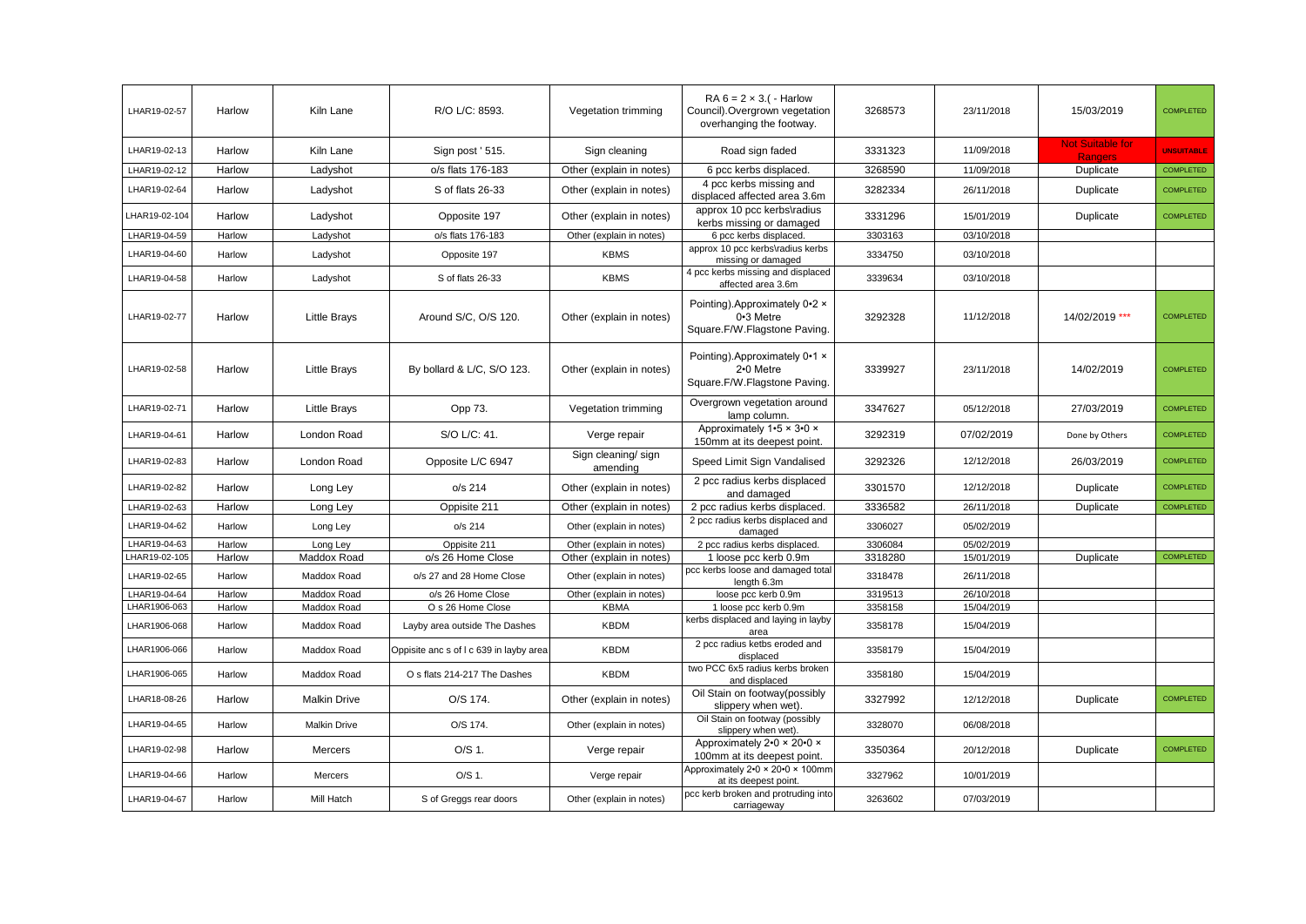| LHAR19-02-57  | Harlow | Kiln Lane           | R/O L/C: 8593.                          | Vegetation trimming            | RA $6 = 2 \times 3$ . ( - Harlow<br>Council). Overgrown vegetation<br>overhanging the footway. | 3268573 | 23/11/2018 | 15/03/2019                                | <b>COMPLETED</b>  |
|---------------|--------|---------------------|-----------------------------------------|--------------------------------|------------------------------------------------------------------------------------------------|---------|------------|-------------------------------------------|-------------------|
| LHAR19-02-13  | Harlow | Kiln Lane           | Sign post ' 515.                        | Sign cleaning                  | Road sign faded                                                                                | 3331323 | 11/09/2018 | <b>Not Suitable for</b><br><b>Rangers</b> | <b>UNSUITABLE</b> |
| LHAR19-02-12  | Harlow | Ladyshot            | o/s flats 176-183                       | Other (explain in notes)       | 6 pcc kerbs displaced.                                                                         | 3268590 | 11/09/2018 | Duplicate                                 | <b>COMPLETED</b>  |
| LHAR19-02-64  | Harlow | Ladyshot            | S of flats 26-33                        | Other (explain in notes)       | 4 pcc kerbs missing and<br>displaced affected area 3.6m                                        | 3282334 | 26/11/2018 | Duplicate                                 | <b>COMPLETED</b>  |
| LHAR19-02-104 | Harlow | Ladyshot            | Opposite 197                            | Other (explain in notes)       | approx 10 pcc kerbs\radius<br>kerbs missing or damaged                                         | 3331296 | 15/01/2019 | Duplicate                                 | <b>COMPLETED</b>  |
| LHAR19-04-59  | Harlow | Ladyshot            | o/s flats 176-183                       | Other (explain in notes)       | 6 pcc kerbs displaced.                                                                         | 3303163 | 03/10/2018 |                                           |                   |
| LHAR19-04-60  | Harlow | Ladyshot            | Opposite 197                            | <b>KBMS</b>                    | approx 10 pcc kerbs\radius kerbs<br>missing or damaged                                         | 3334750 | 03/10/2018 |                                           |                   |
| LHAR19-04-58  | Harlow | Ladyshot            | S of flats 26-33                        | <b>KBMS</b>                    | 4 pcc kerbs missing and displaced<br>affected area 3.6m                                        | 3339634 | 03/10/2018 |                                           |                   |
| LHAR19-02-77  | Harlow | <b>Little Brays</b> | Around S/C, O/S 120.                    | Other (explain in notes)       | Pointing). Approximately 0.2 x<br>0.3 Metre<br>Square.F/W.Flagstone Paving.                    | 3292328 | 11/12/2018 | 14/02/2019 ***                            | <b>COMPLETED</b>  |
| LHAR19-02-58  | Harlow | <b>Little Brays</b> | By bollard & L/C, S/O 123.              | Other (explain in notes)       | Pointing). Approximately 0.1 x<br>2.0 Metre<br>Square.F/W.Flagstone Paving.                    | 3339927 | 23/11/2018 | 14/02/2019                                | <b>COMPLETED</b>  |
| LHAR19-02-71  | Harlow | <b>Little Brays</b> | Opp 73.                                 | Vegetation trimming            | Overgrown vegetation around<br>lamp column.                                                    | 3347627 | 05/12/2018 | 27/03/2019                                | <b>COMPLETED</b>  |
| LHAR19-04-61  | Harlow | London Road         | S/O L/C: 41.                            | Verge repair                   | Approximately 1.5 x 3.0 x<br>150mm at its deepest point.                                       | 3292319 | 07/02/2019 | Done by Others                            | <b>COMPLETED</b>  |
| LHAR19-02-83  | Harlow | London Road         | Opposite L/C 6947                       | Sign cleaning/sign<br>amending | Speed Limit Sign Vandalised                                                                    | 3292326 | 12/12/2018 | 26/03/2019                                | <b>COMPLETED</b>  |
| LHAR19-02-82  | Harlow | Long Ley            | o/s 214                                 | Other (explain in notes)       | 2 pcc radius kerbs displaced<br>and damaged                                                    | 3301570 | 12/12/2018 | Duplicate                                 | <b>COMPLETED</b>  |
| LHAR19-02-63  | Harlow | Long Ley            | Oppisite 211                            | Other (explain in notes)       | 2 pcc radius kerbs displaced.                                                                  | 3336582 | 26/11/2018 | Duplicate                                 | <b>COMPLETED</b>  |
| LHAR19-04-62  | Harlow | Long Ley            | o/s 214                                 | Other (explain in notes)       | 2 pcc radius kerbs displaced and<br>damaged                                                    | 3306027 | 05/02/2019 |                                           |                   |
| LHAR19-04-63  | Harlow | Long Ley            | Oppisite 211                            | Other (explain in notes)       | 2 pcc radius kerbs displaced.                                                                  | 3306084 | 05/02/2019 |                                           |                   |
| LHAR19-02-105 | Harlow | Maddox Road         | o/s 26 Home Close                       | Other (explain in notes)       | 1 loose pcc kerb 0.9m<br>pcc kerbs loose and damaged total                                     | 3318280 | 15/01/2019 | Duplicate                                 | <b>COMPLETED</b>  |
| LHAR19-02-65  | Harlow | Maddox Road         | o/s 27 and 28 Home Close                | Other (explain in notes)       | length 6.3m                                                                                    | 3318478 | 26/11/2018 |                                           |                   |
| LHAR19-04-64  | Harlow | Maddox Road         | o/s 26 Home Close                       | Other (explain in notes)       | loose pcc kerb 0.9m                                                                            | 3319513 | 26/10/2018 |                                           |                   |
| LHAR1906-063  | Harlow | Maddox Road         | O s 26 Home Close                       | <b>KBMA</b>                    | 1 loose pcc kerb 0.9m<br>kerbs displaced and laying in layby                                   | 3358158 | 15/04/2019 |                                           |                   |
| LHAR1906-068  | Harlow | Maddox Road         | Layby area outside The Dashes           | <b>KBDM</b>                    | area                                                                                           | 3358178 | 15/04/2019 |                                           |                   |
| LHAR1906-066  | Harlow | Maddox Road         | Oppisite anc s of I c 639 in layby area | <b>KBDM</b>                    | 2 pcc radius ketbs eroded and<br>displaced                                                     | 3358179 | 15/04/2019 |                                           |                   |
| LHAR1906-065  | Harlow | Maddox Road         | O s flats 214-217 The Dashes            | <b>KBDM</b>                    | two PCC 6x5 radius kerbs broken<br>and displaced                                               | 3358180 | 15/04/2019 |                                           |                   |
| LHAR18-08-26  | Harlow | <b>Malkin Drive</b> | O/S 174.                                | Other (explain in notes)       | Oil Stain on footway(possibly<br>slippery when wet).                                           | 3327992 | 12/12/2018 | Duplicate                                 | <b>COMPLETED</b>  |
| LHAR19-04-65  | Harlow | <b>Malkin Drive</b> | O/S 174.                                | Other (explain in notes)       | Oil Stain on footway (possibly<br>slippery when wet).                                          | 3328070 | 06/08/2018 |                                           |                   |
| LHAR19-02-98  | Harlow | Mercers             | O/S 1.                                  | Verge repair                   | Approximately 2.0 x 20.0 x<br>100mm at its deepest point.                                      | 3350364 | 20/12/2018 | Duplicate                                 | <b>COMPLETED</b>  |
| LHAR19-04-66  | Harlow | Mercers             | O/S 1.                                  | Verge repair                   | Approximately 2.0 × 20.0 × 100mm<br>at its deepest point.                                      | 3327962 | 10/01/2019 |                                           |                   |
| LHAR19-04-67  | Harlow | Mill Hatch          | S of Greggs rear doors                  | Other (explain in notes)       | pcc kerb broken and protruding into<br>carriageway                                             | 3263602 | 07/03/2019 |                                           |                   |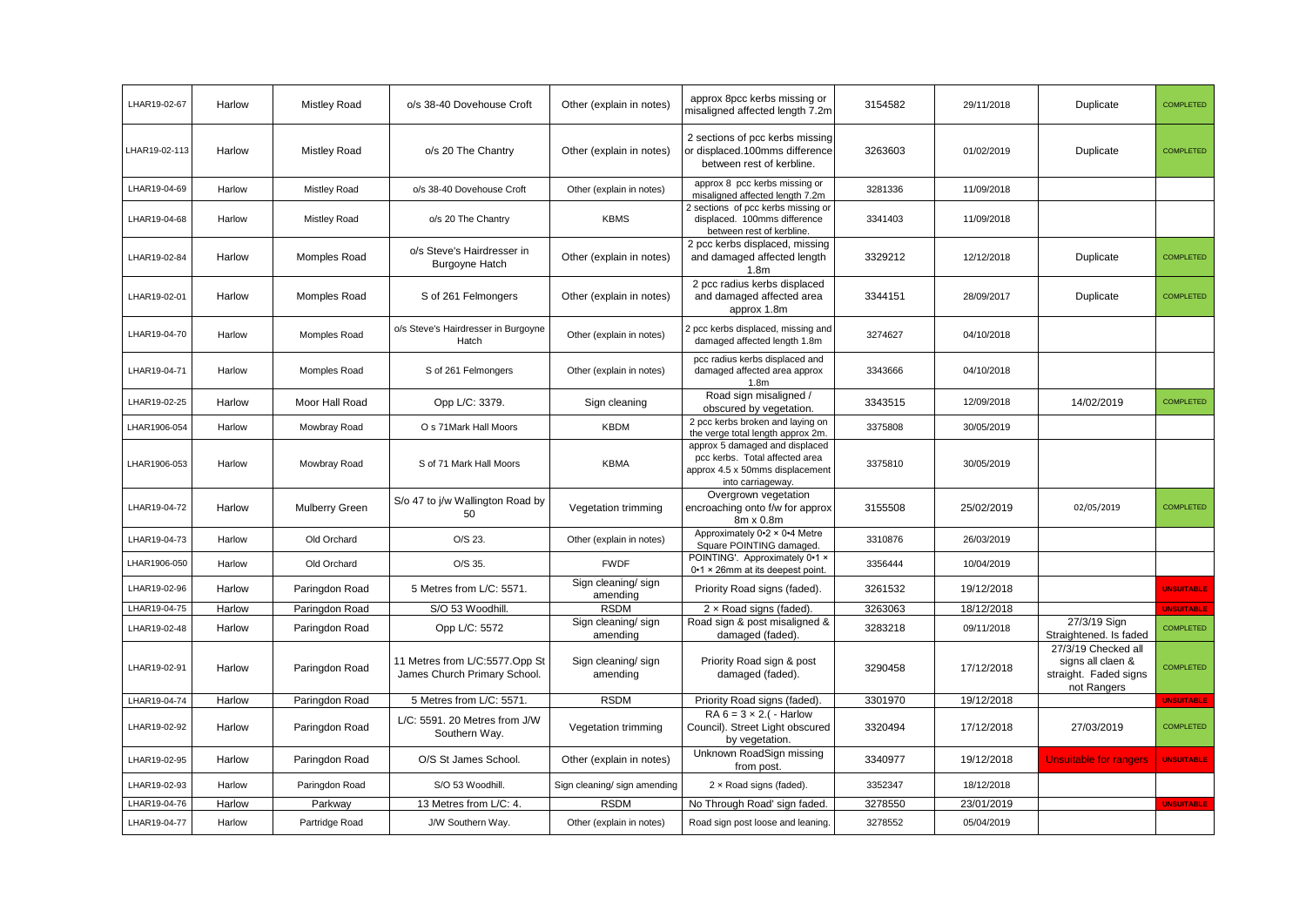| LHAR19-02-67  | Harlow | <b>Mistley Road</b>   | o/s 38-40 Dovehouse Croft                                      | Other (explain in notes)        | approx 8pcc kerbs missing or<br>misaligned affected length 7.2m                                                          | 3154582 | 29/11/2018 | Duplicate                                                                        | <b>COMPLETED</b>  |
|---------------|--------|-----------------------|----------------------------------------------------------------|---------------------------------|--------------------------------------------------------------------------------------------------------------------------|---------|------------|----------------------------------------------------------------------------------|-------------------|
| LHAR19-02-113 | Harlow | <b>Mistley Road</b>   | o/s 20 The Chantry                                             | Other (explain in notes)        | 2 sections of pcc kerbs missing<br>or displaced.100mms difference<br>between rest of kerbline.                           | 3263603 | 01/02/2019 | Duplicate                                                                        | <b>COMPLETED</b>  |
| LHAR19-04-69  | Harlow | <b>Mistley Road</b>   | o/s 38-40 Dovehouse Croft                                      | Other (explain in notes)        | approx 8 pcc kerbs missing or<br>misaligned affected length 7.2m                                                         | 3281336 | 11/09/2018 |                                                                                  |                   |
| LHAR19-04-68  | Harlow | <b>Mistley Road</b>   | o/s 20 The Chantry                                             | <b>KBMS</b>                     | 2 sections of pcc kerbs missing or<br>displaced. 100mms difference<br>between rest of kerbline.                          | 3341403 | 11/09/2018 |                                                                                  |                   |
| LHAR19-02-84  | Harlow | Momples Road          | o/s Steve's Hairdresser in<br><b>Burgoyne Hatch</b>            | Other (explain in notes)        | 2 pcc kerbs displaced, missing<br>and damaged affected length<br>1.8 <sub>m</sub>                                        | 3329212 | 12/12/2018 | Duplicate                                                                        | <b>COMPLETED</b>  |
| LHAR19-02-01  | Harlow | Momples Road          | S of 261 Felmongers                                            | Other (explain in notes)        | 2 pcc radius kerbs displaced<br>and damaged affected area<br>approx 1.8m                                                 | 3344151 | 28/09/2017 | Duplicate                                                                        | <b>COMPLETED</b>  |
| LHAR19-04-70  | Harlow | Momples Road          | o/s Steve's Hairdresser in Burgoyne<br>Hatch                   | Other (explain in notes)        | 2 pcc kerbs displaced, missing and<br>damaged affected length 1.8m                                                       | 3274627 | 04/10/2018 |                                                                                  |                   |
| LHAR19-04-71  | Harlow | Momples Road          | S of 261 Felmongers                                            | Other (explain in notes)        | pcc radius kerbs displaced and<br>damaged affected area approx<br>1.8 <sub>m</sub>                                       | 3343666 | 04/10/2018 |                                                                                  |                   |
| LHAR19-02-25  | Harlow | Moor Hall Road        | Opp L/C: 3379.                                                 | Sign cleaning                   | Road sign misaligned /<br>obscured by vegetation.                                                                        | 3343515 | 12/09/2018 | 14/02/2019                                                                       | <b>COMPLETED</b>  |
| LHAR1906-054  | Harlow | Mowbray Road          | O s 71 Mark Hall Moors                                         | <b>KBDM</b>                     | 2 pcc kerbs broken and laying on<br>the verge total length approx 2m.                                                    | 3375808 | 30/05/2019 |                                                                                  |                   |
| LHAR1906-053  | Harlow | Mowbray Road          | S of 71 Mark Hall Moors                                        | <b>KBMA</b>                     | approx 5 damaged and displaced<br>pcc kerbs. Total affected area<br>approx 4.5 x 50mms displacement<br>into carriageway. | 3375810 | 30/05/2019 |                                                                                  |                   |
| LHAR19-04-72  | Harlow | <b>Mulberry Green</b> | S/o 47 to j/w Wallington Road by<br>50                         | Vegetation trimming             | Overgrown vegetation<br>encroaching onto f/w for approx<br>8m x 0.8m                                                     | 3155508 | 25/02/2019 | 02/05/2019                                                                       | <b>COMPLETED</b>  |
| LHAR19-04-73  | Harlow | Old Orchard           | O/S 23.                                                        | Other (explain in notes)        | Approximately 0.2 × 0.4 Metre<br>Square POINTING damaged.                                                                | 3310876 | 26/03/2019 |                                                                                  |                   |
| LHAR1906-050  | Harlow | Old Orchard           | O/S 35.                                                        | <b>FWDF</b>                     | POINTING'. Approximately 0-1 x<br>0-1 × 26mm at its deepest point.                                                       | 3356444 | 10/04/2019 |                                                                                  |                   |
| LHAR19-02-96  | Harlow | Paringdon Road        | 5 Metres from L/C: 5571.                                       | Sign cleaning/ sign<br>amending | Priority Road signs (faded).                                                                                             | 3261532 | 19/12/2018 |                                                                                  | <b>UNSUITABLE</b> |
| LHAR19-04-75  | Harlow | Paringdon Road        | S/O 53 Woodhill                                                | <b>RSDM</b>                     | $2 \times$ Road signs (faded).                                                                                           | 3263063 | 18/12/2018 |                                                                                  | <b>UNSUITABLE</b> |
| LHAR19-02-48  | Harlow | Paringdon Road        | Opp L/C: 5572                                                  | Sign cleaning/ sign<br>amending | Road sign & post misaligned &<br>damaged (faded).                                                                        | 3283218 | 09/11/2018 | 27/3/19 Sign<br>Straightened. Is faded                                           | <b>COMPLETED</b>  |
| LHAR19-02-91  | Harlow | Paringdon Road        | 11 Metres from L/C:5577.Opp St<br>James Church Primary School. | Sign cleaning/ sign<br>amending | Priority Road sign & post<br>damaged (faded).                                                                            | 3290458 | 17/12/2018 | 27/3/19 Checked all<br>signs all claen &<br>straight. Faded signs<br>not Rangers | <b>COMPLETED</b>  |
| LHAR19-04-74  | Harlow | Paringdon Road        | 5 Metres from L/C: 5571.                                       | <b>RSDM</b>                     | Priority Road signs (faded).                                                                                             | 3301970 | 19/12/2018 |                                                                                  | <b>UNSUITABLE</b> |
| LHAR19-02-92  | Harlow | Paringdon Road        | L/C: 5591. 20 Metres from J/W<br>Southern Way.                 | Vegetation trimming             | $RA 6 = 3 \times 2$ . ( - Harlow<br>Council). Street Light obscured<br>by vegetation.                                    | 3320494 | 17/12/2018 | 27/03/2019                                                                       | <b>COMPLETED</b>  |
| LHAR19-02-95  | Harlow | Paringdon Road        | O/S St James School.                                           | Other (explain in notes)        | Unknown RoadSign missing<br>from post.                                                                                   | 3340977 | 19/12/2018 | <b>Unsuitable for rangers</b>                                                    | <b>UNSUITABLE</b> |
| LHAR19-02-93  | Harlow | Paringdon Road        | S/O 53 Woodhill                                                | Sign cleaning/ sign amending    | 2 x Road signs (faded).                                                                                                  | 3352347 | 18/12/2018 |                                                                                  |                   |
| LHAR19-04-76  | Harlow | Parkway               | 13 Metres from L/C: 4.                                         | <b>RSDM</b>                     | No Through Road' sign faded.                                                                                             | 3278550 | 23/01/2019 |                                                                                  | <b>UNSUITABLE</b> |
| LHAR19-04-77  | Harlow | Partridge Road        | J/W Southern Way.                                              | Other (explain in notes)        | Road sign post loose and leaning.                                                                                        | 3278552 | 05/04/2019 |                                                                                  |                   |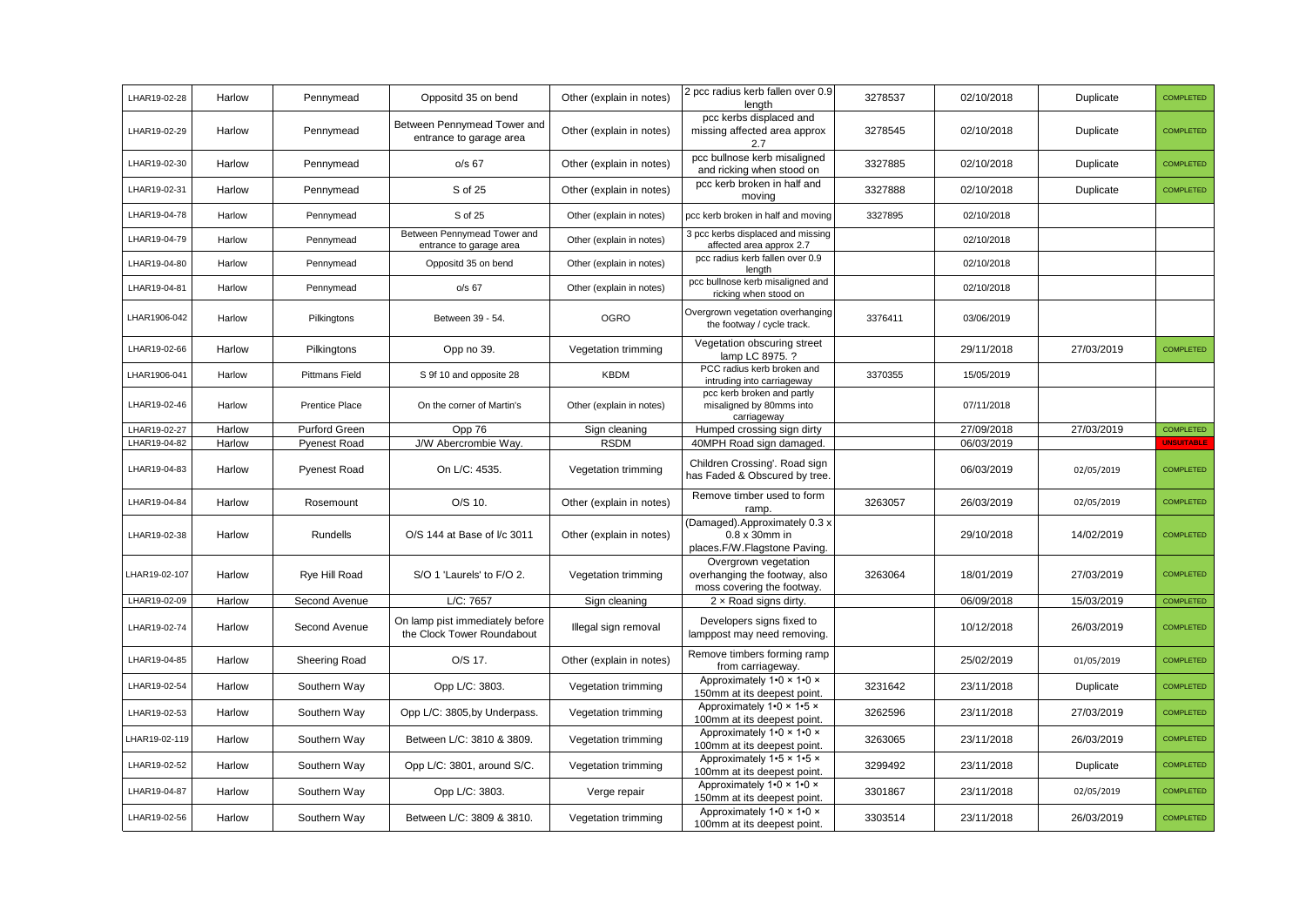| LHAR19-02-28  | Harlow | Pennymead             | Oppositd 35 on bend                                           | Other (explain in notes) | 2 pcc radius kerb fallen over 0.9<br>length                                           | 3278537 | 02/10/2018 | Duplicate  | <b>COMPLETED</b>  |
|---------------|--------|-----------------------|---------------------------------------------------------------|--------------------------|---------------------------------------------------------------------------------------|---------|------------|------------|-------------------|
| LHAR19-02-29  | Harlow | Pennymead             | Between Pennymead Tower and<br>entrance to garage area        | Other (explain in notes) | pcc kerbs displaced and<br>missing affected area approx<br>2.7                        | 3278545 | 02/10/2018 | Duplicate  | <b>COMPLETED</b>  |
| LHAR19-02-30  | Harlow | Pennymead             | $o/s$ 67                                                      | Other (explain in notes) | pcc bullnose kerb misaligned<br>and ricking when stood on                             | 3327885 | 02/10/2018 | Duplicate  | <b>COMPLETED</b>  |
| LHAR19-02-31  | Harlow | Pennymead             | S of 25                                                       | Other (explain in notes) | pcc kerb broken in half and<br>moving                                                 | 3327888 | 02/10/2018 | Duplicate  | <b>COMPLETED</b>  |
| LHAR19-04-78  | Harlow | Pennymead             | S of 25                                                       | Other (explain in notes) | pcc kerb broken in half and moving                                                    | 3327895 | 02/10/2018 |            |                   |
| LHAR19-04-79  | Harlow | Pennymead             | Between Pennymead Tower and<br>entrance to garage area        | Other (explain in notes) | 3 pcc kerbs displaced and missing<br>affected area approx 2.7                         |         | 02/10/2018 |            |                   |
| LHAR19-04-80  | Harlow | Pennymead             | Oppositd 35 on bend                                           | Other (explain in notes) | pcc radius kerb fallen over 0.9<br>length                                             |         | 02/10/2018 |            |                   |
| LHAR19-04-81  | Harlow | Pennymead             | $o/s$ 67                                                      | Other (explain in notes) | pcc bullnose kerb misaligned and<br>ricking when stood on                             |         | 02/10/2018 |            |                   |
| LHAR1906-042  | Harlow | Pilkingtons           | Between 39 - 54.                                              | <b>OGRO</b>              | Overgrown vegetation overhanging<br>the footway / cycle track.                        | 3376411 | 03/06/2019 |            |                   |
| LHAR19-02-66  | Harlow | Pilkingtons           | Opp no 39.                                                    | Vegetation trimming      | Vegetation obscuring street<br>lamp LC 8975. ?                                        |         | 29/11/2018 | 27/03/2019 | <b>COMPLETED</b>  |
| LHAR1906-041  | Harlow | <b>Pittmans Field</b> | S 9f 10 and opposite 28                                       | <b>KBDM</b>              | PCC radius kerb broken and<br>intruding into carriageway                              | 3370355 | 15/05/2019 |            |                   |
| LHAR19-02-46  | Harlow | Prentice Place        | On the corner of Martin's                                     | Other (explain in notes) | pcc kerb broken and partly<br>misaligned by 80mms into<br>carriageway                 |         | 07/11/2018 |            |                   |
| LHAR19-02-27  | Harlow | Purford Green         | Opp 76                                                        | Sign cleaning            | Humped crossing sign dirty                                                            |         | 27/09/2018 | 27/03/2019 | <b>COMPLETED</b>  |
| LHAR19-04-82  | Harlow | <b>Pyenest Road</b>   | J/W Abercrombie Way.                                          | <b>RSDM</b>              | 40MPH Road sign damaged.                                                              |         | 06/03/2019 |            | <b>UNSUITABLE</b> |
| LHAR19-04-83  | Harlow | Pyenest Road          | On L/C: 4535.                                                 | Vegetation trimming      | Children Crossing'. Road sign<br>has Faded & Obscured by tree.                        |         | 06/03/2019 | 02/05/2019 | <b>COMPLETED</b>  |
| LHAR19-04-84  | Harlow | Rosemount             | O/S 10.                                                       | Other (explain in notes) | Remove timber used to form<br>ramp.                                                   | 3263057 | 26/03/2019 | 02/05/2019 | <b>COMPLETED</b>  |
| LHAR19-02-38  | Harlow | Rundells              | O/S 144 at Base of I/c 3011                                   | Other (explain in notes) | Damaged).Approximately 0.3 x<br>$0.8 \times 30$ mm in<br>places.F/W.Flagstone Paving. |         | 29/10/2018 | 14/02/2019 | <b>COMPLETED</b>  |
| HAR19-02-107  | Harlow | Rye Hill Road         | S/O 1 'Laurels' to F/O 2.                                     | Vegetation trimming      | Overgrown vegetation<br>overhanging the footway, also<br>moss covering the footway.   | 3263064 | 18/01/2019 | 27/03/2019 | <b>COMPLETED</b>  |
| LHAR19-02-09  | Harlow | Second Avenue         | L/C: 7657                                                     | Sign cleaning            | 2 x Road signs dirty.                                                                 |         | 06/09/2018 | 15/03/2019 | <b>COMPLETED</b>  |
| LHAR19-02-74  | Harlow | Second Avenue         | On lamp pist immediately before<br>the Clock Tower Roundabout | Illegal sign removal     | Developers signs fixed to<br>lamppost may need removing.                              |         | 10/12/2018 | 26/03/2019 | <b>COMPLETED</b>  |
| LHAR19-04-85  | Harlow | Sheering Road         | O/S 17.                                                       | Other (explain in notes) | Remove timbers forming ramp<br>from carriageway.                                      |         | 25/02/2019 | 01/05/2019 | <b>COMPLETED</b>  |
| LHAR19-02-54  | Harlow | Southern Way          | Opp L/C: 3803.                                                | Vegetation trimming      | Approximately 1.0 x 1.0 x<br>150mm at its deepest point.                              | 3231642 | 23/11/2018 | Duplicate  | <b>COMPLETED</b>  |
| LHAR19-02-53  | Harlow | Southern Way          | Opp L/C: 3805,by Underpass.                                   | Vegetation trimming      | Approximately 1.0 x 1.5 x<br>100mm at its deepest point.                              | 3262596 | 23/11/2018 | 27/03/2019 | <b>COMPLETED</b>  |
| LHAR19-02-119 | Harlow | Southern Way          | Between L/C: 3810 & 3809.                                     | Vegetation trimming      | Approximately 1.0 x 1.0 x<br>100mm at its deepest point.                              | 3263065 | 23/11/2018 | 26/03/2019 | <b>COMPLETED</b>  |
| LHAR19-02-52  | Harlow | Southern Way          | Opp L/C: 3801, around S/C.                                    | Vegetation trimming      | Approximately 1.5 x 1.5 x<br>100mm at its deepest point.                              | 3299492 | 23/11/2018 | Duplicate  | <b>COMPLETED</b>  |
| LHAR19-04-87  | Harlow | Southern Way          | Opp L/C: 3803.                                                | Verge repair             | Approximately 1.0 x 1.0 x<br>150mm at its deepest point.                              | 3301867 | 23/11/2018 | 02/05/2019 | <b>COMPLETED</b>  |
| LHAR19-02-56  | Harlow | Southern Way          | Between L/C: 3809 & 3810.                                     | Vegetation trimming      | Approximately 1.0 x 1.0 x<br>100mm at its deepest point.                              | 3303514 | 23/11/2018 | 26/03/2019 | <b>COMPLETED</b>  |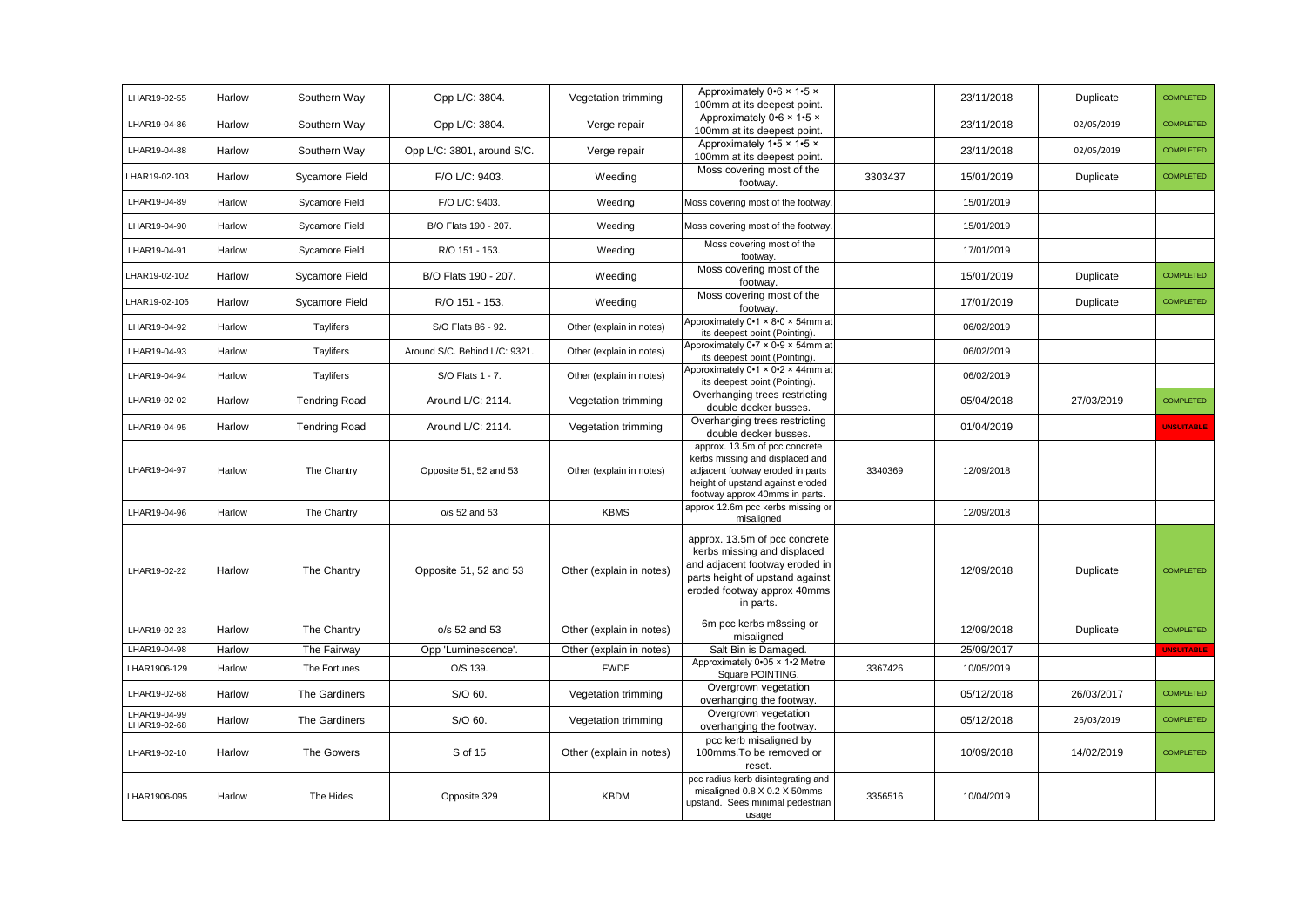| LHAR19-02-55                 | Harlow | Southern Way          | Opp L/C: 3804.                | Vegetation trimming      | Approximately 0.6 x 1.5 x<br>100mm at its deepest point.                                                                                                                      |         | 23/11/2018 | Duplicate  | <b>COMPLETED</b>  |
|------------------------------|--------|-----------------------|-------------------------------|--------------------------|-------------------------------------------------------------------------------------------------------------------------------------------------------------------------------|---------|------------|------------|-------------------|
| LHAR19-04-86                 | Harlow | Southern Way          | Opp L/C: 3804.                | Verge repair             | Approximately 0.6 x 1.5 x<br>100mm at its deepest point.                                                                                                                      |         | 23/11/2018 | 02/05/2019 | <b>COMPLETED</b>  |
| LHAR19-04-88                 | Harlow | Southern Way          | Opp L/C: 3801, around S/C.    | Verge repair             | Approximately 1.5 x 1.5 x<br>100mm at its deepest point.                                                                                                                      |         | 23/11/2018 | 02/05/2019 | <b>COMPLETED</b>  |
| LHAR19-02-103                | Harlow | Sycamore Field        | F/O L/C: 9403.                | Weeding                  | Moss covering most of the<br>footway.                                                                                                                                         | 3303437 | 15/01/2019 | Duplicate  | <b>COMPLETED</b>  |
| LHAR19-04-89                 | Harlow | Sycamore Field        | F/O L/C: 9403.                | Weeding                  | Moss covering most of the footway.                                                                                                                                            |         | 15/01/2019 |            |                   |
| LHAR19-04-90                 | Harlow | Sycamore Field        | B/O Flats 190 - 207.          | Weeding                  | Moss covering most of the footway.                                                                                                                                            |         | 15/01/2019 |            |                   |
| LHAR19-04-91                 | Harlow | Sycamore Field        | R/O 151 - 153.                | Weeding                  | Moss covering most of the<br>footway.                                                                                                                                         |         | 17/01/2019 |            |                   |
| LHAR19-02-102                | Harlow | Sycamore Field        | B/O Flats 190 - 207.          | Weeding                  | Moss covering most of the<br>footway.                                                                                                                                         |         | 15/01/2019 | Duplicate  | <b>COMPLETED</b>  |
| LHAR19-02-106                | Harlow | <b>Sycamore Field</b> | R/O 151 - 153.                | Weeding                  | Moss covering most of the<br>footway.                                                                                                                                         |         | 17/01/2019 | Duplicate  | <b>COMPLETED</b>  |
| LHAR19-04-92                 | Harlow | Taylifers             | S/O Flats 86 - 92.            | Other (explain in notes) | Approximately 0.1 × 8.0 × 54mm at<br>its deepest point (Pointing).                                                                                                            |         | 06/02/2019 |            |                   |
| LHAR19-04-93                 | Harlow | Taylifers             | Around S/C. Behind L/C: 9321. | Other (explain in notes) | Approximately 0.7 × 0.9 × 54mm at<br>its deepest point (Pointing).                                                                                                            |         | 06/02/2019 |            |                   |
| LHAR19-04-94                 | Harlow | Taylifers             | S/O Flats 1 - 7.              | Other (explain in notes) | Approximately 0.1 × 0.2 × 44mm at<br>its deepest point (Pointing).                                                                                                            |         | 06/02/2019 |            |                   |
| LHAR19-02-02                 | Harlow | <b>Tendring Road</b>  | Around L/C: 2114.             | Vegetation trimming      | Overhanging trees restricting<br>double decker busses.                                                                                                                        |         | 05/04/2018 | 27/03/2019 | <b>COMPLETED</b>  |
| LHAR19-04-95                 | Harlow | <b>Tendring Road</b>  | Around L/C: 2114.             | Vegetation trimming      | Overhanging trees restricting<br>double decker busses.                                                                                                                        |         | 01/04/2019 |            | <b>JNSUITABLE</b> |
| LHAR19-04-97                 | Harlow | The Chantry           | Opposite 51, 52 and 53        | Other (explain in notes) | approx. 13.5m of pcc concrete<br>kerbs missing and displaced and<br>adjacent footway eroded in parts<br>height of upstand against eroded<br>footway approx 40mms in parts.    | 3340369 | 12/09/2018 |            |                   |
| LHAR19-04-96                 | Harlow | The Chantry           | o/s 52 and 53                 | <b>KBMS</b>              | approx 12.6m pcc kerbs missing or<br>misaligned                                                                                                                               |         | 12/09/2018 |            |                   |
| LHAR19-02-22                 | Harlow | The Chantry           | Opposite 51, 52 and 53        | Other (explain in notes) | approx. 13.5m of pcc concrete<br>kerbs missing and displaced<br>and adjacent footway eroded in<br>parts height of upstand against<br>eroded footway approx 40mms<br>in parts. |         | 12/09/2018 | Duplicate  | <b>COMPLETED</b>  |
| LHAR19-02-23                 | Harlow | The Chantry           | o/s 52 and 53                 | Other (explain in notes) | 6m pcc kerbs m8ssing or<br>misaligned                                                                                                                                         |         | 12/09/2018 | Duplicate  | <b>COMPLETED</b>  |
| LHAR19-04-98                 | Harlow | The Fairway           | Opp 'Luminescence'.           | Other (explain in notes) | Salt Bin is Damaged.                                                                                                                                                          |         | 25/09/2017 |            | <b>UNSUITABLE</b> |
| LHAR1906-129                 | Harlow | The Fortunes          | O/S 139.                      | <b>FWDF</b>              | Approximately 0.05 x 1.2 Metre<br>Square POINTING.                                                                                                                            | 3367426 | 10/05/2019 |            |                   |
| LHAR19-02-68                 | Harlow | The Gardiners         | S/O 60.                       | Vegetation trimming      | Overgrown vegetation<br>overhanging the footway.                                                                                                                              |         | 05/12/2018 | 26/03/2017 | <b>COMPLETED</b>  |
| LHAR19-04-99<br>LHAR19-02-68 | Harlow | The Gardiners         | S/O 60.                       | Vegetation trimming      | Overgrown vegetation<br>overhanging the footway.                                                                                                                              |         | 05/12/2018 | 26/03/2019 | <b>COMPLETED</b>  |
| LHAR19-02-10                 | Harlow | The Gowers            | S of 15                       | Other (explain in notes) | pcc kerb misaligned by<br>100mms. To be removed or<br>reset.                                                                                                                  |         | 10/09/2018 | 14/02/2019 | <b>COMPLETED</b>  |
| LHAR1906-095                 | Harlow | The Hides             | Opposite 329                  | <b>KBDM</b>              | pcc radius kerb disintegrating and<br>misaligned 0.8 X 0.2 X 50mms<br>upstand. Sees minimal pedestrian<br>usage                                                               | 3356516 | 10/04/2019 |            |                   |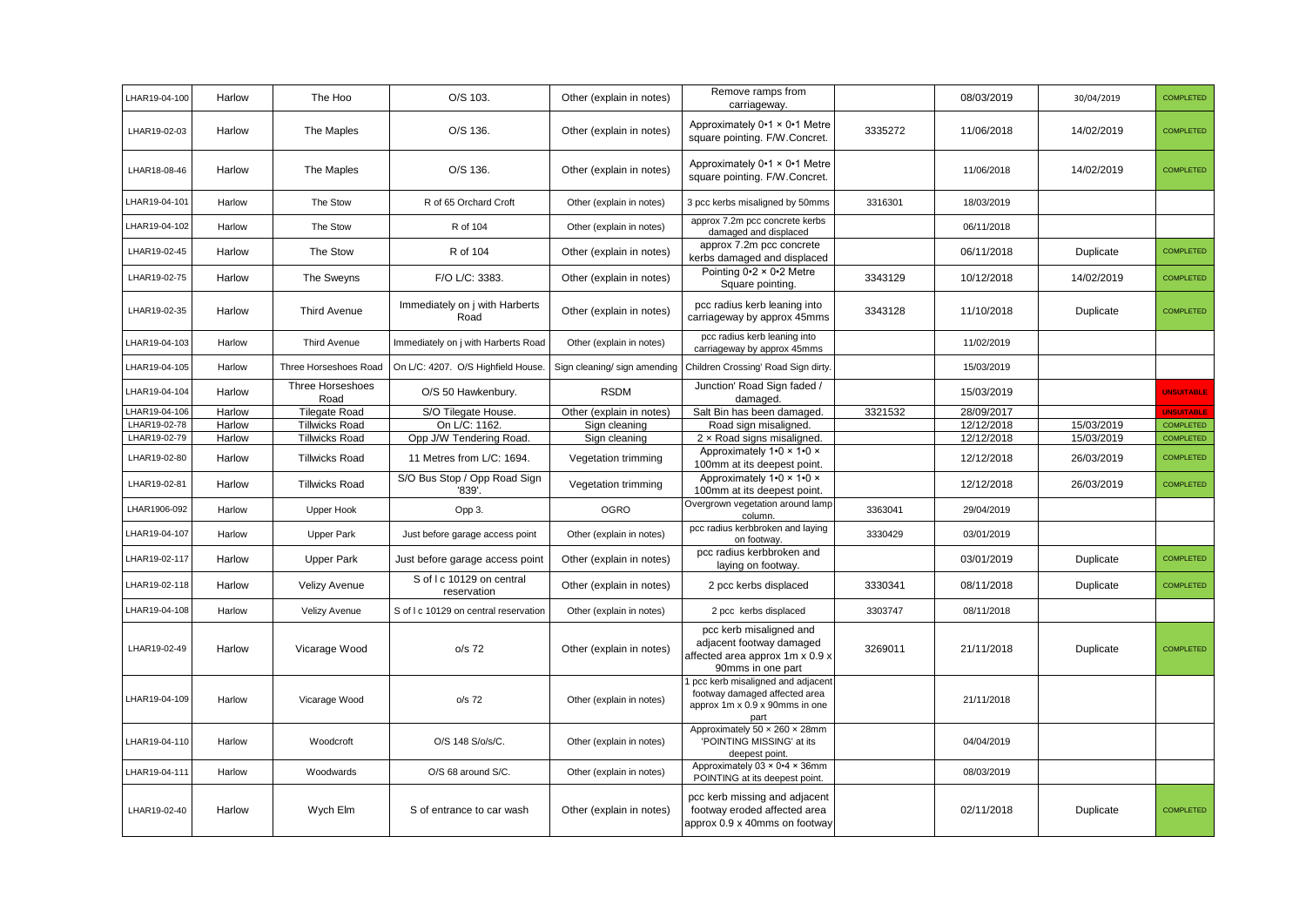| LHAR19-04-100 | Harlow | The Hoo                         | O/S 103.                                 | Other (explain in notes)     | Remove ramps from<br>carriageway.                                                                             |         | 08/03/2019 | 30/04/2019 | <b>COMPLETED</b>  |
|---------------|--------|---------------------------------|------------------------------------------|------------------------------|---------------------------------------------------------------------------------------------------------------|---------|------------|------------|-------------------|
| LHAR19-02-03  | Harlow | The Maples                      | O/S 136.                                 | Other (explain in notes)     | Approximately 0•1 × 0•1 Metre<br>square pointing. F/W.Concret.                                                | 3335272 | 11/06/2018 | 14/02/2019 | <b>COMPLETED</b>  |
| LHAR18-08-46  | Harlow | The Maples                      | O/S 136.                                 | Other (explain in notes)     | Approximately 0.1 x 0.1 Metre<br>square pointing. F/W.Concret.                                                |         | 11/06/2018 | 14/02/2019 | <b>COMPLETED</b>  |
| LHAR19-04-101 | Harlow | The Stow                        | R of 65 Orchard Croft                    | Other (explain in notes)     | 3 pcc kerbs misaligned by 50mms                                                                               | 3316301 | 18/03/2019 |            |                   |
| HAR19-04-102  | Harlow | The Stow                        | R of 104                                 | Other (explain in notes)     | approx 7.2m pcc concrete kerbs<br>damaged and displaced                                                       |         | 06/11/2018 |            |                   |
| LHAR19-02-45  | Harlow | The Stow                        | R of 104                                 | Other (explain in notes)     | approx 7.2m pcc concrete<br>kerbs damaged and displaced                                                       |         | 06/11/2018 | Duplicate  | <b>COMPLETED</b>  |
| LHAR19-02-75  | Harlow | The Sweyns                      | F/O L/C: 3383.                           | Other (explain in notes)     | Pointing $0.2 \times 0.2$ Metre<br>Square pointing.                                                           | 3343129 | 10/12/2018 | 14/02/2019 | <b>COMPLETED</b>  |
| LHAR19-02-35  | Harlow | <b>Third Avenue</b>             | Immediately on j with Harberts<br>Road   | Other (explain in notes)     | pcc radius kerb leaning into<br>carriageway by approx 45mms                                                   | 3343128 | 11/10/2018 | Duplicate  | <b>COMPLETED</b>  |
| LHAR19-04-103 | Harlow | Third Avenue                    | Immediately on j with Harberts Road      | Other (explain in notes)     | pcc radius kerb leaning into<br>carriageway by approx 45mms                                                   |         | 11/02/2019 |            |                   |
| LHAR19-04-105 | Harlow | Three Horseshoes Road           | On L/C: 4207. O/S Highfield House        | Sign cleaning/ sign amending | Children Crossing' Road Sign dirty.                                                                           |         | 15/03/2019 |            |                   |
| HAR19-04-104  | Harlow | <b>Three Horseshoes</b><br>Road | O/S 50 Hawkenbury.                       | <b>RSDM</b>                  | Junction' Road Sign faded /<br>damaged.                                                                       |         | 15/03/2019 |            | <b>UNSUITABLE</b> |
| LHAR19-04-106 | Harlow | <b>Tilegate Road</b>            | S/O Tilegate House.                      | Other (explain in notes)     | Salt Bin has been damaged.                                                                                    | 3321532 | 28/09/2017 |            | <b>JNSUITABLE</b> |
| LHAR19-02-78  | Harlow | <b>Tillwicks Road</b>           | On L/C: 1162.                            | Sign cleaning                | Road sign misaligned.                                                                                         |         | 12/12/2018 | 15/03/2019 | <b>COMPLETED</b>  |
| LHAR19-02-79  | Harlow | <b>Tillwicks Road</b>           | Opp J/W Tendering Road.                  | Sign cleaning                | 2 x Road signs misaligned.                                                                                    |         | 12/12/2018 | 15/03/2019 | <b>COMPLETED</b>  |
| LHAR19-02-80  | Harlow | <b>Tillwicks Road</b>           | 11 Metres from L/C: 1694.                | Vegetation trimming          | Approximately 1.0 x 1.0 x<br>100mm at its deepest point.                                                      |         | 12/12/2018 | 26/03/2019 | <b>COMPLETED</b>  |
| LHAR19-02-81  | Harlow | <b>Tillwicks Road</b>           | S/O Bus Stop / Opp Road Sign<br>'839'.   | Vegetation trimming          | Approximately 1.0 x 1.0 x<br>100mm at its deepest point.                                                      |         | 12/12/2018 | 26/03/2019 | <b>COMPLETED</b>  |
| LHAR1906-092  | Harlow | <b>Upper Hook</b>               | Opp 3.                                   | <b>OGRO</b>                  | Overgrown vegetation around lamp<br>column.                                                                   | 3363041 | 29/04/2019 |            |                   |
| LHAR19-04-107 | Harlow | <b>Upper Park</b>               | Just before garage access point          | Other (explain in notes)     | pcc radius kerbbroken and laying<br>on footway.                                                               | 3330429 | 03/01/2019 |            |                   |
| LHAR19-02-117 | Harlow | <b>Upper Park</b>               | Just before garage access point          | Other (explain in notes)     | pcc radius kerbbroken and<br>laying on footway.                                                               |         | 03/01/2019 | Duplicate  | <b>COMPLETED</b>  |
| LHAR19-02-118 | Harlow | <b>Velizy Avenue</b>            | S of I c 10129 on central<br>reservation | Other (explain in notes)     | 2 pcc kerbs displaced                                                                                         | 3330341 | 08/11/2018 | Duplicate  | <b>COMPLETED</b>  |
| LHAR19-04-108 | Harlow | Velizy Avenue                   | S of I c 10129 on central reservation    | Other (explain in notes)     | 2 pcc kerbs displaced                                                                                         | 3303747 | 08/11/2018 |            |                   |
| LHAR19-02-49  | Harlow | Vicarage Wood                   | $o/s$ 72                                 | Other (explain in notes)     | pcc kerb misaligned and<br>adjacent footway damaged<br>affected area approx 1m x 0.9 x<br>90mms in one part   | 3269011 | 21/11/2018 | Duplicate  | <b>COMPLETED</b>  |
| LHAR19-04-109 | Harlow | Vicarage Wood                   | $o/s$ 72                                 | Other (explain in notes)     | I pcc kerb misaligned and adjacent<br>footway damaged affected area<br>approx 1m x 0.9 x 90mms in one<br>part |         | 21/11/2018 |            |                   |
| LHAR19-04-110 | Harlow | Woodcroft                       | O/S 148 S/o/s/C.                         | Other (explain in notes)     | Approximately 50 x 260 x 28mm<br>'POINTING MISSING' at its<br>deepest point.                                  |         | 04/04/2019 |            |                   |
| LHAR19-04-111 | Harlow | Woodwards                       | O/S 68 around S/C.                       | Other (explain in notes)     | Approximately 03 × 0-4 × 36mm<br>POINTING at its deepest point.                                               |         | 08/03/2019 |            |                   |
| LHAR19-02-40  | Harlow | Wych Elm                        | S of entrance to car wash                | Other (explain in notes)     | pcc kerb missing and adjacent<br>footway eroded affected area<br>approx 0.9 x 40mms on footway                |         | 02/11/2018 | Duplicate  | <b>COMPLETED</b>  |